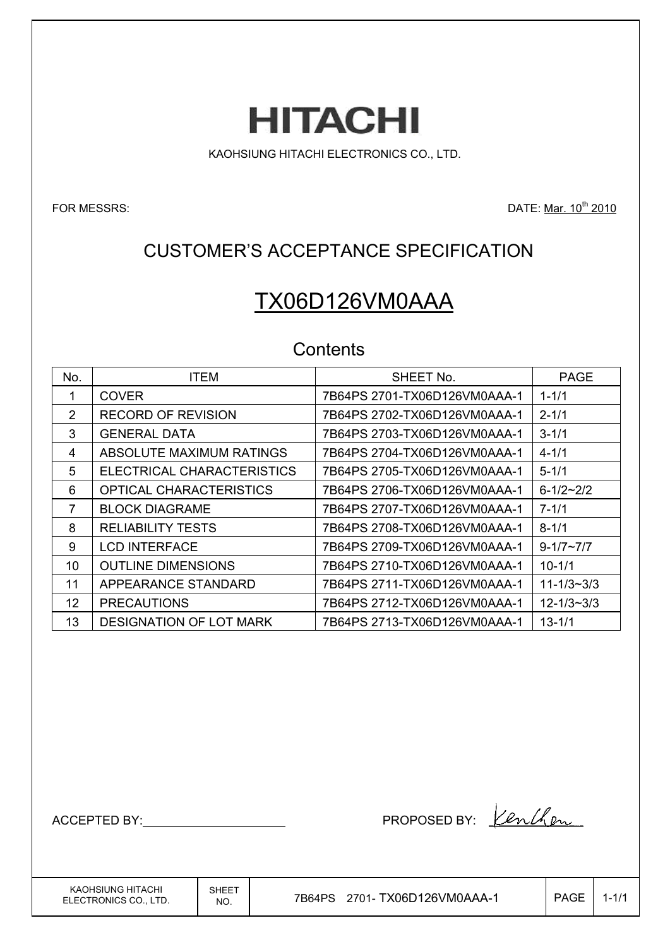**HITACHI** 

KAOHSIUNG HITACHI ELECTRONICS CO., LTD.

FOR MESSRS: DATE: Mar. 10<sup>th</sup> 2010

## CUSTOMER'S ACCEPTANCE SPECIFICATION

# TX06D126VM0AAA

## **Contents**

| No.           | <b>ITEM</b>                | SHEET No.                    | <b>PAGE</b>        |
|---------------|----------------------------|------------------------------|--------------------|
|               | <b>COVER</b>               | 7B64PS 2701-TX06D126VM0AAA-1 | $1 - 1/1$          |
| $\mathcal{P}$ | <b>RECORD OF REVISION</b>  | 7B64PS 2702-TX06D126VM0AAA-1 | $2 - 1/1$          |
| 3             | <b>GENERAL DATA</b>        | 7B64PS 2703-TX06D126VM0AAA-1 | $3 - 1/1$          |
| 4             | ABSOLUTE MAXIMUM RATINGS   | 7B64PS 2704-TX06D126VM0AAA-1 | $4 - 1/1$          |
| 5             | ELECTRICAL CHARACTERISTICS | 7B64PS 2705-TX06D126VM0AAA-1 | $5 - 1/1$          |
| 6             | OPTICAL CHARACTERISTICS    | 7B64PS 2706-TX06D126VM0AAA-1 | $6 - 1/2 - 2/2$    |
| 7             | <b>BLOCK DIAGRAME</b>      | 7B64PS 2707-TX06D126VM0AAA-1 | $7 - 1/1$          |
| 8             | <b>RELIABILITY TESTS</b>   | 7B64PS 2708-TX06D126VM0AAA-1 | $8 - 1/1$          |
| 9             | <b>LCD INTERFACE</b>       | 7B64PS 2709-TX06D126VM0AAA-1 | $9 - 1/7 \sim 7/7$ |
| 10            | <b>OUTLINE DIMENSIONS</b>  | 7B64PS 2710-TX06D126VM0AAA-1 | $10 - 1/1$         |
| 11            | APPEARANCE STANDARD        | 7B64PS 2711-TX06D126VM0AAA-1 | $11 - 1/3 - 3/3$   |
| 12            | <b>PRECAUTIONS</b>         | 7B64PS 2712-TX06D126VM0AAA-1 | $12 - 1/3 - 3/3$   |
| 13            | DESIGNATION OF LOT MARK    |                              | $13 - 1/1$         |

ACCEPTED BY: PROPOSED BY:

KAOHSIUNG HITACHI ELECTRONICS CO., LTD. SHEET

 $\overline{N_{\rm NO.}}$  7B64PS 2701-TX06D126VM0AAA-1 PAGE 1-1/1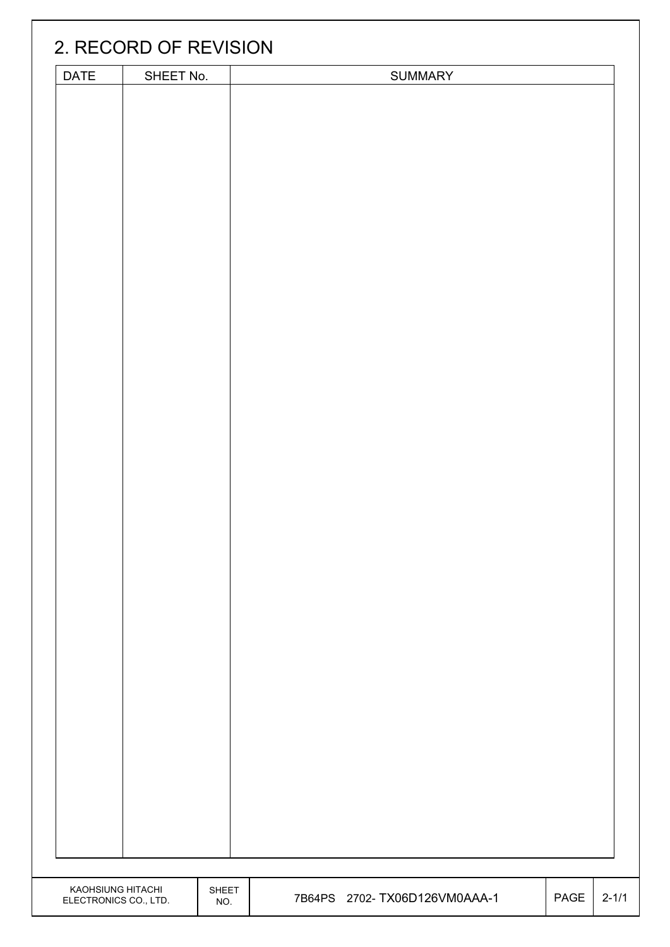|                                            | 2. RECORD OF REVISION |                     |                               |      |           |
|--------------------------------------------|-----------------------|---------------------|-------------------------------|------|-----------|
|                                            |                       |                     |                               |      |           |
| DATE                                       | SHEET No.             |                     | SUMMARY                       |      |           |
|                                            |                       |                     |                               |      |           |
|                                            |                       |                     |                               |      |           |
| KAOHSIUNG HITACHI<br>ELECTRONICS CO., LTD. |                       | <b>SHEET</b><br>NO. | 7B64PS 2702- TX06D126VM0AAA-1 | PAGE | $2 - 1/1$ |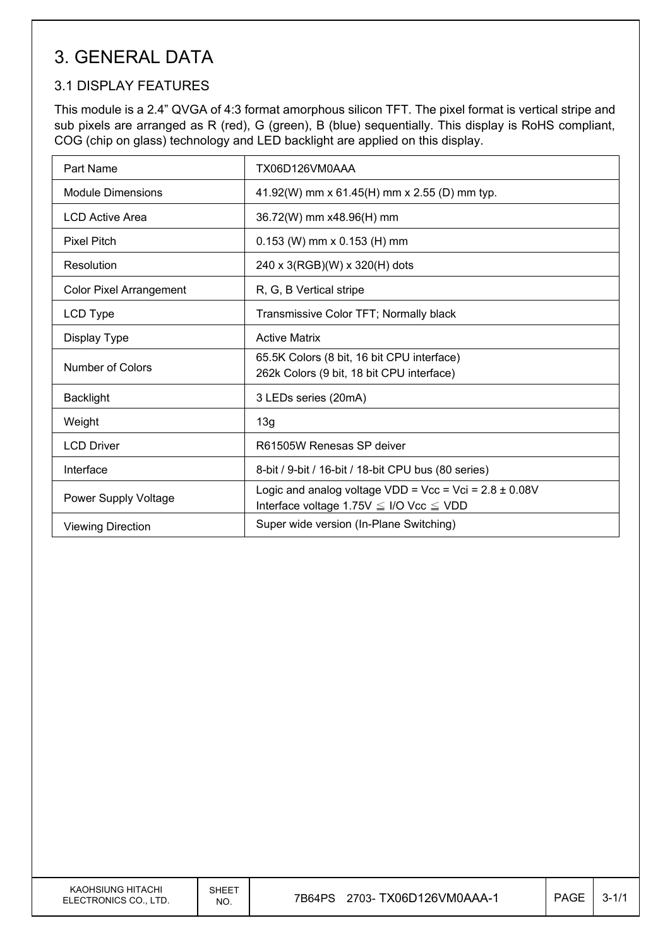## 3. GENERAL DATA

### 3.1 DISPLAY FEATURES

This module is a 2.4" QVGA of 4:3 format amorphous silicon TFT. The pixel format is vertical stripe and sub pixels are arranged as R (red), G (green), B (blue) sequentially. This display is RoHS compliant, COG (chip on glass) technology and LED backlight are applied on this display.

| Part Name                      | TX06D126VM0AAA                                                                                                   |
|--------------------------------|------------------------------------------------------------------------------------------------------------------|
| <b>Module Dimensions</b>       | 41.92(W) mm x 61.45(H) mm x 2.55 (D) mm typ.                                                                     |
| <b>LCD Active Area</b>         | 36.72(W) mm x48.96(H) mm                                                                                         |
| <b>Pixel Pitch</b>             | $0.153$ (W) mm x $0.153$ (H) mm                                                                                  |
| Resolution                     | 240 x 3(RGB)(W) x 320(H) dots                                                                                    |
| <b>Color Pixel Arrangement</b> | R, G, B Vertical stripe                                                                                          |
| LCD Type                       | Transmissive Color TFT; Normally black                                                                           |
| Display Type                   | <b>Active Matrix</b>                                                                                             |
| Number of Colors               | 65.5K Colors (8 bit, 16 bit CPU interface)<br>262k Colors (9 bit, 18 bit CPU interface)                          |
| <b>Backlight</b>               | 3 LEDs series (20mA)                                                                                             |
| Weight                         | 13g                                                                                                              |
| <b>LCD Driver</b>              | R61505W Renesas SP deiver                                                                                        |
| Interface                      | 8-bit / 9-bit / 16-bit / 18-bit CPU bus (80 series)                                                              |
| Power Supply Voltage           | Logic and analog voltage VDD = Vcc = Vci = $2.8 \pm 0.08$ V<br>Interface voltage 1.75V $\leq$ I/O Vcc $\leq$ VDD |
| <b>Viewing Direction</b>       | Super wide version (In-Plane Switching)                                                                          |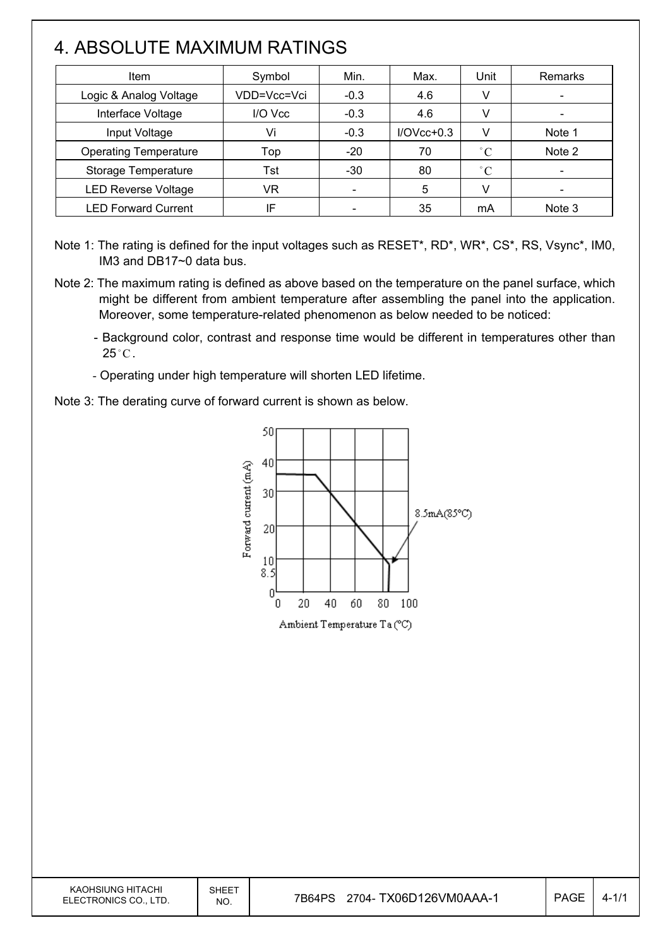## 4. ABSOLUTE MAXIMUM RATINGS

 $\overline{\phantom{a}}$ 

| Item                         | Symbol      | Min.   | Max.         | Unit         | Remarks |
|------------------------------|-------------|--------|--------------|--------------|---------|
| Logic & Analog Voltage       | VDD=Vcc=Vci | $-0.3$ | 4.6          | V            |         |
| Interface Voltage            | I/O Vcc     | $-0.3$ | 4.6          | V            |         |
| Input Voltage                | Vi          | $-0.3$ | $I/OVcc+0.3$ | v            | Note 1  |
| <b>Operating Temperature</b> | Top         | $-20$  | 70           | $^{\circ}$ C | Note 2  |
| Storage Temperature          | Tst         | -30    | 80           | $^{\circ}$ C |         |
| <b>LED Reverse Voltage</b>   | VR          |        | 5            | v            |         |
| <b>LED Forward Current</b>   | ΙF          |        | 35           | mA           | Note 3  |

Note 1: The rating is defined for the input voltages such as RESET\*, RD\*, WR\*, CS\*, RS, Vsync\*, IM0, IM3 and DB17~0 data bus.

- Note 2: The maximum rating is defined as above based on the temperature on the panel surface, which might be different from ambient temperature after assembling the panel into the application. Moreover, some temperature-related phenomenon as below needed to be noticed:
	- Background color, contrast and response time would be different in temperatures other than  $25^{\circ}$ C.
	- Operating under high temperature will shorten LED lifetime.
- Note 3: The derating curve of forward current is shown as below.

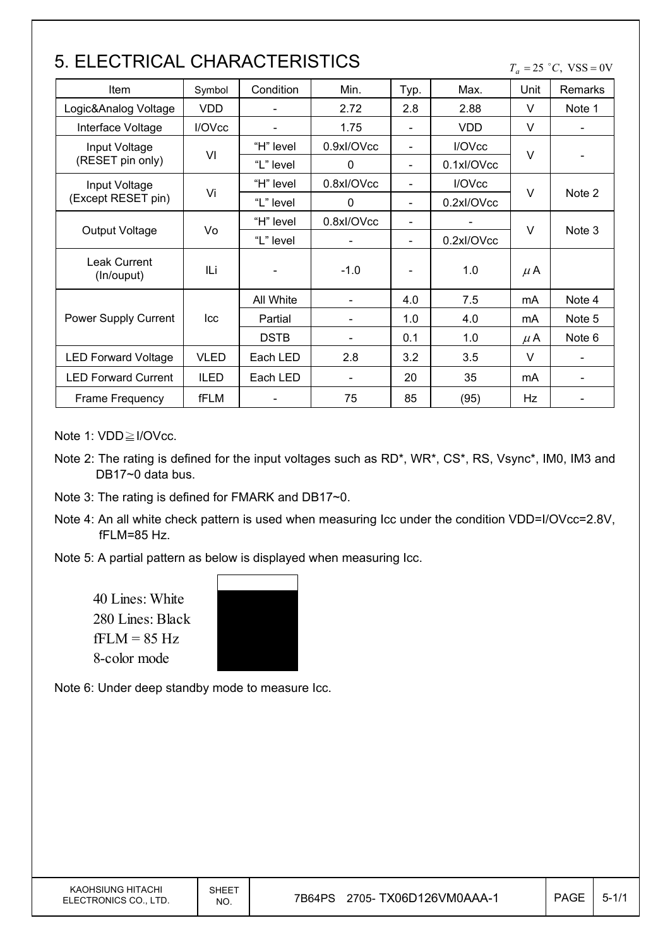## 5. ELECTRICAL CHARACTERISTICS

 $T_a = 25$  °C, VSS = 0V

| Item                       | Symbol             | Condition   | Min.                         | Typ.                         | Max.               | Unit    | <b>Remarks</b> |  |
|----------------------------|--------------------|-------------|------------------------------|------------------------------|--------------------|---------|----------------|--|
| Logic&Analog Voltage       | <b>VDD</b>         |             | 2.72                         | 2.8                          | 2.88               | V       | Note 1         |  |
| Interface Voltage          | I/OV <sub>cc</sub> |             | 1.75                         | $\overline{\phantom{0}}$     | <b>VDD</b>         | V       |                |  |
| Input Voltage              |                    | "H" level   | 0.9xl/OVcc                   | Ξ.                           | I/OV <sub>cc</sub> |         |                |  |
| (RESET pin only)           | VI                 | "L" level   | $\mathbf{0}$                 | $\qquad \qquad \blacksquare$ | 0.1xl/OVcc         | V       |                |  |
| Input Voltage              | Vi                 | "H" level   | 0.8xl/OVcc                   | $\qquad \qquad \blacksquare$ | I/OVcc             | V       |                |  |
| (Except RESET pin)         |                    | "L" level   | $\Omega$                     | $\overline{\phantom{0}}$     | 0.2xl/OVcc         |         | Note 2         |  |
|                            |                    | "H" level   | 0.8xl/OVcc                   | $\overline{\phantom{0}}$     |                    | $\vee$  |                |  |
| <b>Output Voltage</b>      | Vo                 | "L" level   |                              | $\qquad \qquad \blacksquare$ | 0.2xl/OVcc         |         | Note 3         |  |
| Leak Current<br>(In/ouput) | ILi                |             | $-1.0$                       |                              | 1.0                | $\mu$ A |                |  |
|                            |                    | All White   | $\qquad \qquad \blacksquare$ | 4.0                          | 7.5                | mA      | Note 4         |  |
| Power Supply Current       | Icc                | Partial     |                              | 1.0                          | 4.0                | mA      | Note 5         |  |
|                            |                    | <b>DSTB</b> |                              | 0.1                          | 1.0                | $\mu$ A | Note 6         |  |
| <b>LED Forward Voltage</b> | <b>VLED</b>        | Each LED    | 2.8                          | 3.2                          | 3.5                | $\vee$  |                |  |
| <b>LED Forward Current</b> | <b>ILED</b>        | Each LED    |                              | 20                           | 35                 | mA      |                |  |
| Frame Frequency            | fFLM               |             | 75                           | 85                           | (95)               | Hz      |                |  |

Note 1:  $VDD \geq I/OVcc$ .

 $\mathsf{I}$ 

- Note 2: The rating is defined for the input voltages such as RD\*, WR\*, CS\*, RS, Vsync\*, IM0, IM3 and DB17~0 data bus.
- Note 3: The rating is defined for FMARK and DB17~0.
- Note 4: An all white check pattern is used when measuring Icc under the condition VDD=I/OVcc=2.8V, fFLM=85 Hz.
- Note 5: A partial pattern as below is displayed when measuring Icc.

40 Lines: White 280 Lines: Black  $fFLM = 85 Hz$ 8-color mode

Note 6: Under deep standby mode to measure Icc.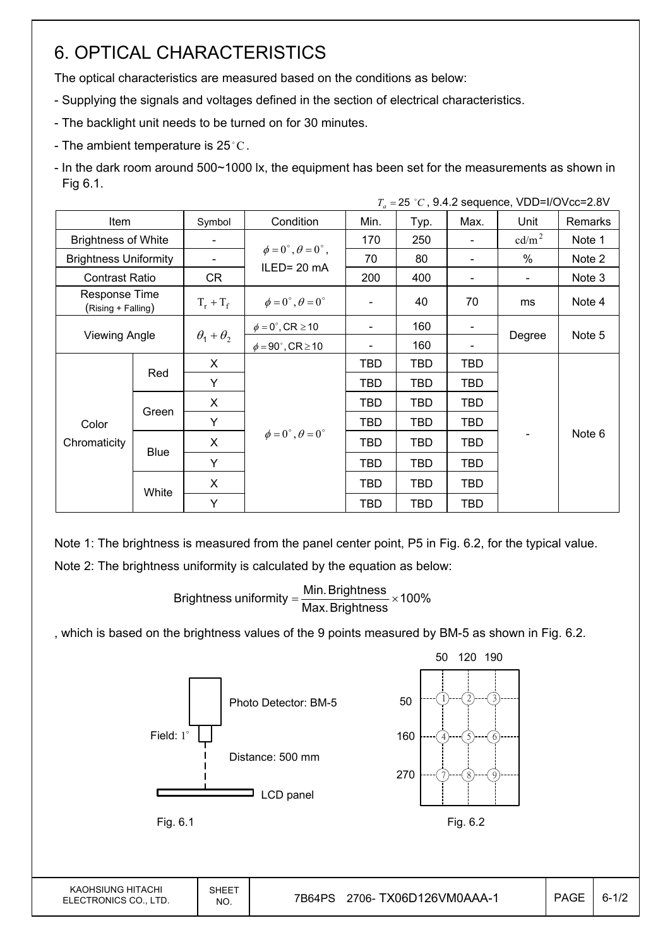## 6. OPTICAL CHARACTERISTICS

The optical characteristics are measured based on the conditions as below:

- Supplying the signals and voltages defined in the section of electrical characteristics.
- The backlight unit needs to be turned on for 30 minutes.
- The ambient temperature is 25 $^{\circ}$ C.
- In the dark room around 500~1000 lx, the equipment has been set for the measurements as shown in Fig 6.1.

|                            |                                                       |                       |                                                        |                |            | $T_a = 25 °C$ , 9.4.2 sequence, VDD=I/OVcc=2.8V |                   |         |  |
|----------------------------|-------------------------------------------------------|-----------------------|--------------------------------------------------------|----------------|------------|-------------------------------------------------|-------------------|---------|--|
| Item                       |                                                       | Symbol                | Condition                                              | Min.           | Typ.       | Max.                                            | Unit              | Remarks |  |
| <b>Brightness of White</b> |                                                       |                       |                                                        | 170            | 250        |                                                 | cd/m <sup>2</sup> | Note 1  |  |
|                            | <b>Brightness Uniformity</b><br><b>Contrast Ratio</b> |                       | $\phi = 0^{\circ}, \theta = 0^{\circ}$ ,<br>ILED=20 mA | 70             | 80         |                                                 | %                 | Note 2  |  |
|                            |                                                       |                       |                                                        | 200            | 400        |                                                 |                   | Note 3  |  |
|                            | Response Time<br>(Rising + Falling)                   |                       | $\phi = 0^{\circ}, \theta = 0^{\circ}$                 |                | 40         | 70                                              | ms                | Note 4  |  |
|                            | <b>Viewing Angle</b>                                  |                       | $\phi = 0^\circ$ , CR $\geq 10$                        |                | 160        |                                                 |                   |         |  |
|                            |                                                       | $\theta_1 + \theta_2$ | $\phi = 90^\circ$ , CR $\geq 10$                       | $\blacksquare$ | 160        |                                                 | Degree            | Note 5  |  |
|                            |                                                       | X                     |                                                        | TBD            | TBD        | TBD                                             |                   |         |  |
|                            | Red                                                   | Y                     |                                                        | TBD            | <b>TBD</b> | <b>TBD</b>                                      |                   |         |  |
|                            |                                                       | X                     |                                                        | <b>TBD</b>     | <b>TBD</b> | <b>TBD</b>                                      |                   |         |  |
| Color                      | Green                                                 | Y                     |                                                        | TBD            | TBD        | TBD                                             |                   |         |  |
| Chromaticity               | <b>Blue</b>                                           | X                     | $\phi = 0^{\circ}, \theta = 0^{\circ}$                 | <b>TBD</b>     | TBD        | <b>TBD</b>                                      |                   | Note 6  |  |
|                            |                                                       | Y                     |                                                        | TBD            | TBD        | TBD                                             |                   |         |  |
|                            | White                                                 | X                     |                                                        | TBD            | TBD        | TBD                                             |                   |         |  |
|                            |                                                       | Y                     |                                                        | <b>TBD</b>     | <b>TBD</b> | <b>TBD</b>                                      |                   |         |  |

Note 1: The brightness is measured from the panel center point, P5 in Fig. 6.2, for the typical value. Note 2: The brightness uniformity is calculated by the equation as below:

Brightness uniformity  $=\frac{1}{1}$  and  $\frac{1}{1}$  x 100% Max.Brightness Brightness uniformity =  $\frac{\text{Min.~Brightness}}{\text{max.~S}}$ 

, which is based on the brightness values of the 9 points measured by BM-5 as shown in Fig. 6.2.

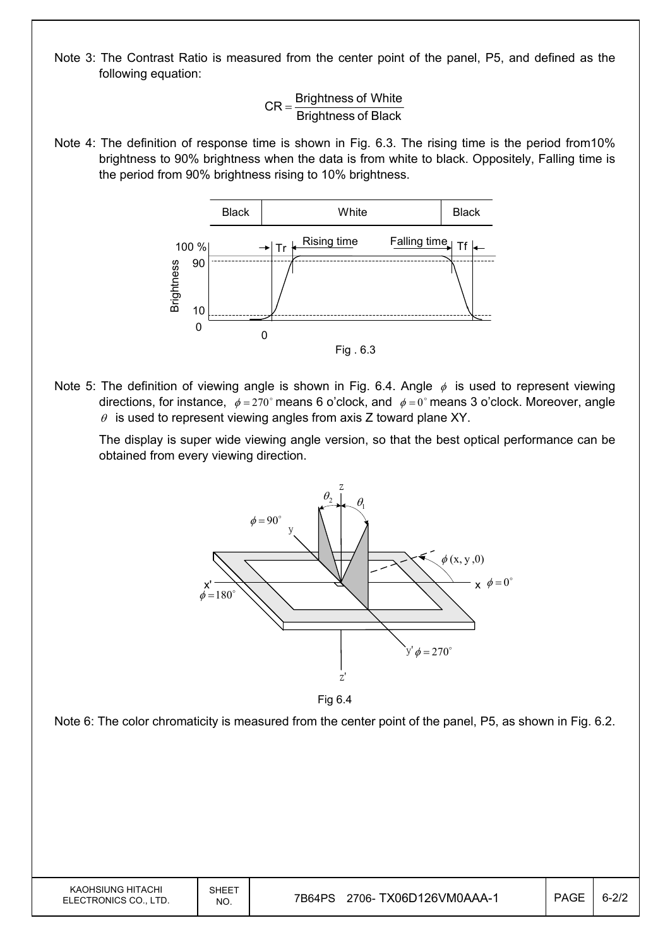Note 3: The Contrast Ratio is measured from the center point of the panel, P5, and defined as the following equation:

> Brightness of Black  $CR =$ Brightness of White

Note 4: The definition of response time is shown in Fig. 6.3. The rising time is the period from10% brightness to 90% brightness when the data is from white to black. Oppositely, Falling time is the period from 90% brightness rising to 10% brightness.



Note 5: The definition of viewing angle is shown in Fig. 6.4. Angle  $\phi$  is used to represent viewing directions, for instance,  $\phi = 270^\circ$  means 6 o'clock, and  $\phi = 0^\circ$  means 3 o'clock. Moreover, angle  $\theta$  is used to represent viewing angles from axis Z toward plane XY.

 The display is super wide viewing angle version, so that the best optical performance can be obtained from every viewing direction.



Fig 6.4

Note 6: The color chromaticity is measured from the center point of the panel, P5, as shown in Fig. 6.2.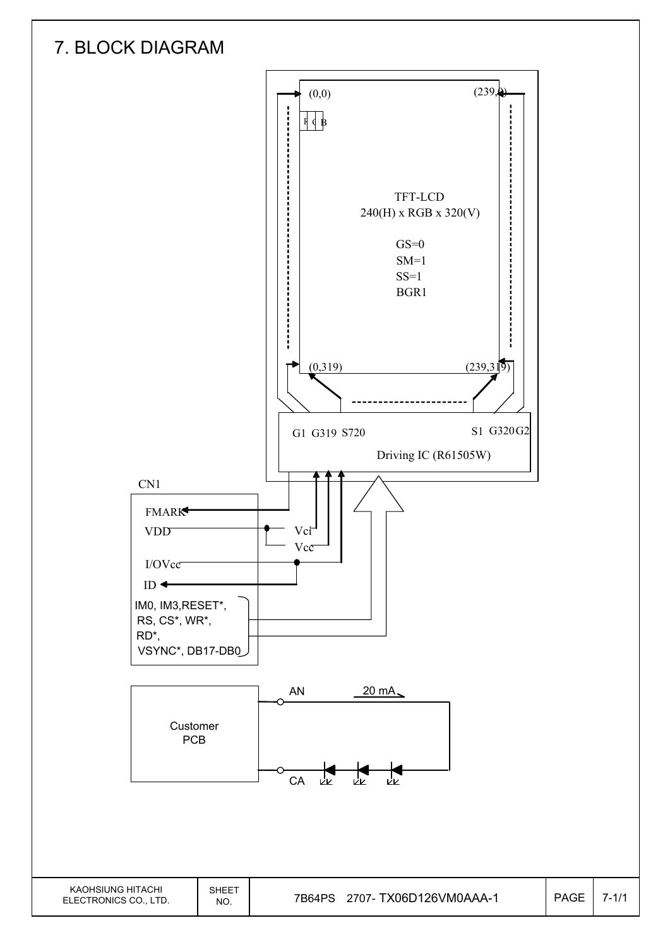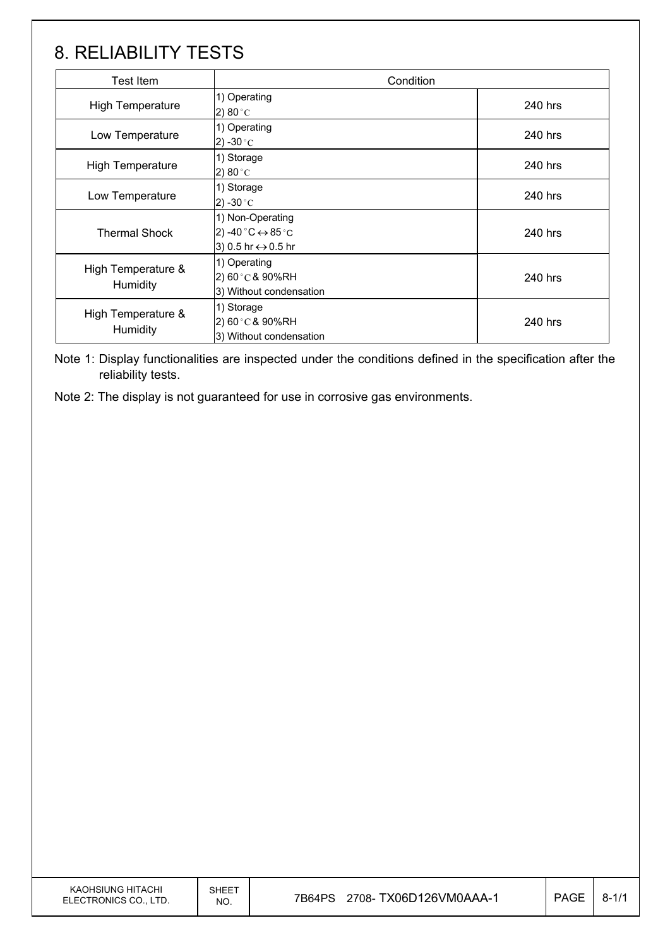## 8. RELIABILITY TESTS

| <b>Test Item</b>               | Condition                                                                                                       |         |
|--------------------------------|-----------------------------------------------------------------------------------------------------------------|---------|
| <b>High Temperature</b>        | 1) Operating<br>2) 80 $^{\circ}$ C                                                                              | 240 hrs |
| Low Temperature                | 1) Operating<br>$2) -30$ °C                                                                                     | 240 hrs |
| <b>High Temperature</b>        | 1) Storage<br>2) 80 $^{\circ}$ C                                                                                | 240 hrs |
| Low Temperature                | 1) Storage<br>2) -30 $^{\circ}$ C                                                                               | 240 hrs |
| <b>Thermal Shock</b>           | 1) Non-Operating<br>2) -40 $^{\circ}$ C $\leftrightarrow$ 85 $^{\circ}$ C<br>3) 0.5 hr $\leftrightarrow$ 0.5 hr | 240 hrs |
| High Temperature &<br>Humidity | 1) Operating<br>$2)60^{\circ}$ C & 90%RH<br>3) Without condensation                                             | 240 hrs |
| High Temperature &<br>Humidity | 1) Storage<br>$2)60^{\circ}$ C & 90%RH<br>3) Without condensation                                               | 240 hrs |

Note 1: Display functionalities are inspected under the conditions defined in the specification after the reliability tests.

Note 2: The display is not guaranteed for use in corrosive gas environments.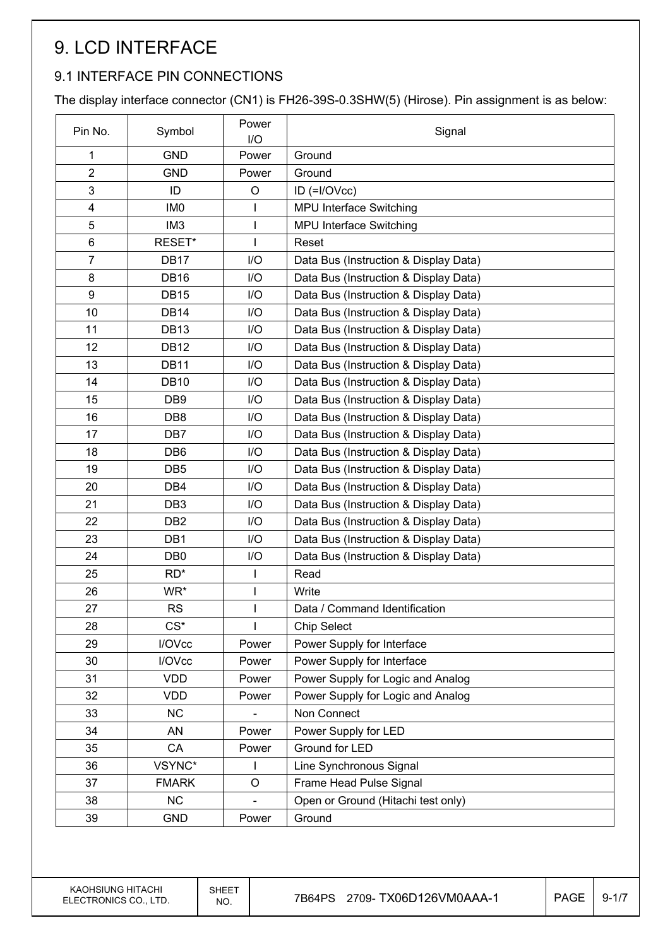# 9. LCD INTERFACE

### 9.1 INTERFACE PIN CONNECTIONS

The display interface connector (CN1) is FH26-39S-0.3SHW(5) (Hirose). Pin assignment is as below:

| Pin No.                 | Symbol           | Power<br>I/O | Signal                                |
|-------------------------|------------------|--------------|---------------------------------------|
| 1                       | <b>GND</b>       | Power        | Ground                                |
| $\overline{2}$          | <b>GND</b>       | Power        | Ground                                |
| 3                       | ID               | O            | $ID (=I/OVcc)$                        |
| $\overline{\mathbf{4}}$ | IM <sub>0</sub>  | I            | MPU Interface Switching               |
| 5                       | IM <sub>3</sub>  | $\mathsf{l}$ | MPU Interface Switching               |
| 6                       | RESET*           |              | Reset                                 |
| $\overline{7}$          | DB <sub>17</sub> | I/O          | Data Bus (Instruction & Display Data) |
| 8                       | <b>DB16</b>      | I/O          | Data Bus (Instruction & Display Data) |
| 9                       | <b>DB15</b>      | I/O          | Data Bus (Instruction & Display Data) |
| 10                      | <b>DB14</b>      | I/O          | Data Bus (Instruction & Display Data) |
| 11                      | <b>DB13</b>      | I/O          | Data Bus (Instruction & Display Data) |
| 12                      | <b>DB12</b>      | I/O          | Data Bus (Instruction & Display Data) |
| 13                      | <b>DB11</b>      | I/O          | Data Bus (Instruction & Display Data) |
| 14                      | <b>DB10</b>      | I/O          | Data Bus (Instruction & Display Data) |
| 15                      | DB <sub>9</sub>  | I/O          | Data Bus (Instruction & Display Data) |
| 16                      | DB <sub>8</sub>  | I/O          | Data Bus (Instruction & Display Data) |
| 17                      | DB7              | I/O          | Data Bus (Instruction & Display Data) |
| 18                      | DB <sub>6</sub>  | I/O          | Data Bus (Instruction & Display Data) |
| 19                      | DB <sub>5</sub>  | I/O          | Data Bus (Instruction & Display Data) |
| 20                      | DB4              | I/O          | Data Bus (Instruction & Display Data) |
| 21                      | DB <sub>3</sub>  | I/O          | Data Bus (Instruction & Display Data) |
| 22                      | DB <sub>2</sub>  | I/O          | Data Bus (Instruction & Display Data) |
| 23                      | DB1              | I/O          | Data Bus (Instruction & Display Data) |
| 24                      | DB <sub>0</sub>  | I/O          | Data Bus (Instruction & Display Data) |
| 25                      | $RD^*$           | $\mathsf{I}$ | Read                                  |
| 26                      | WR*              |              | Write                                 |
| 27                      | <b>RS</b>        |              | Data / Command Identification         |
| 28                      | $CS^*$           |              | <b>Chip Select</b>                    |
| 29                      | I/OVcc           | Power        | Power Supply for Interface            |
| 30                      | I/OVcc           | Power        | Power Supply for Interface            |
| 31                      | <b>VDD</b>       | Power        | Power Supply for Logic and Analog     |
| 32                      | <b>VDD</b>       | Power        | Power Supply for Logic and Analog     |
| 33                      | <b>NC</b>        |              | Non Connect                           |
| 34                      | AN               | Power        | Power Supply for LED                  |
| 35                      | CA               | Power        | Ground for LED                        |
| 36                      | VSYNC*           |              | Line Synchronous Signal               |
| 37                      | <b>FMARK</b>     | $\circ$      | Frame Head Pulse Signal               |
| 38                      | <b>NC</b>        |              | Open or Ground (Hitachi test only)    |
| 39                      | <b>GND</b>       | Power        | Ground                                |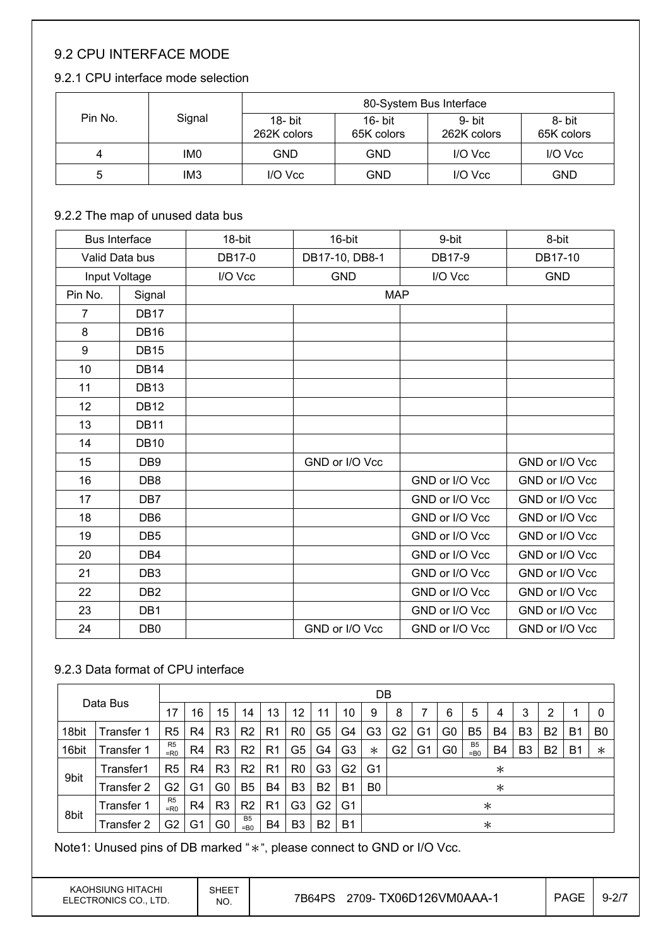### 9.2 CPU INTERFACE MODE

#### 9.2.1 CPU interface mode selection

|         |                 |                           | 80-System Bus Interface  |                       |                      |
|---------|-----------------|---------------------------|--------------------------|-----------------------|----------------------|
| Pin No. | Signal          | $18 - bit$<br>262K colors | $16 - bit$<br>65K colors | 9- bit<br>262K colors | 8- bit<br>65K colors |
| 4       | IM <sub>0</sub> | <b>GND</b>                | <b>GND</b>               | I/O Vcc               | I/O Vcc              |
| 5       | IM <sub>3</sub> | I/O Vcc                   | <b>GND</b>               | I/O Vcc               | GND                  |

#### 9.2.2 The map of unused data bus

| <b>Bus Interface</b> |                 | 18-bit  | 16-bit         | 9-bit          | 8-bit          |
|----------------------|-----------------|---------|----------------|----------------|----------------|
| Valid Data bus       |                 | DB17-0  | DB17-10, DB8-1 | DB17-9         | DB17-10        |
| Input Voltage        |                 | I/O Vcc | <b>GND</b>     | I/O Vcc        | <b>GND</b>     |
| Pin No.              | Signal          |         | <b>MAP</b>     |                |                |
| $\overline{7}$       | DB17            |         |                |                |                |
| 8                    | <b>DB16</b>     |         |                |                |                |
| 9                    | <b>DB15</b>     |         |                |                |                |
| 10                   | <b>DB14</b>     |         |                |                |                |
| 11                   | <b>DB13</b>     |         |                |                |                |
| 12                   | <b>DB12</b>     |         |                |                |                |
| 13                   | <b>DB11</b>     |         |                |                |                |
| 14                   | <b>DB10</b>     |         |                |                |                |
| 15                   | DB <sub>9</sub> |         | GND or I/O Vcc |                | GND or I/O Vcc |
| 16                   | DB <sub>8</sub> |         |                | GND or I/O Vcc | GND or I/O Vcc |
| 17                   | DB <sub>7</sub> |         |                | GND or I/O Vcc | GND or I/O Vcc |
| 18                   | DB <sub>6</sub> |         |                | GND or I/O Vcc | GND or I/O Vcc |
| 19                   | DB <sub>5</sub> |         |                | GND or I/O Vcc | GND or I/O Vcc |
| 20                   | DB4             |         |                | GND or I/O Vcc | GND or I/O Vcc |
| 21                   | DB <sub>3</sub> |         |                | GND or I/O Vcc | GND or I/O Vcc |
| 22                   | DB <sub>2</sub> |         |                | GND or I/O Vcc | GND or I/O Vcc |
| 23                   | DB1             |         |                | GND or I/O Vcc | GND or I/O Vcc |
| 24                   | DB <sub>0</sub> |         | GND or I/O Vcc | GND or I/O Vcc | GND or I/O Vcc |

#### 9.2.3 Data format of CPU interface

| Data Bus |                   |                          |                |                |                          |                |                |                |                | DB             |                |    |    |                          |        |                |                |    |                |
|----------|-------------------|--------------------------|----------------|----------------|--------------------------|----------------|----------------|----------------|----------------|----------------|----------------|----|----|--------------------------|--------|----------------|----------------|----|----------------|
|          | 17                | 16                       | 15             | 14             | 13                       | 12             | 11             | 10             | 9              | 8              |                | 6  | 5  | 4                        | 3      | 2              |                | 0  |                |
| 18bit    | Transfer 1        | R <sub>5</sub>           | R4             | R <sub>3</sub> | R <sub>2</sub>           | R1             | R <sub>0</sub> | G5             | G4             | G3             | G2             | G1 | G0 | B5                       | B4     | B3             | B <sub>2</sub> | B1 | B <sub>0</sub> |
| 16bit    | Transfer 1        | R <sub>5</sub><br>$=$ R0 | R4             | R <sub>3</sub> | R <sub>2</sub>           | R <sub>1</sub> | G5             | G4             | G3             | $\ast$         | G <sub>2</sub> | Gʻ | G0 | B <sub>5</sub><br>$=$ B0 | B4     | B <sub>3</sub> | B <sub>2</sub> | B1 | $\ast$         |
|          | Transfer1         | R <sub>5</sub>           | R4             | R <sub>3</sub> | R <sub>2</sub>           | R1             | R <sub>0</sub> | G3             | G2             | G1             | $\ast$         |    |    |                          |        |                |                |    |                |
| 9bit     | <b>Transfer 2</b> | G <sub>2</sub>           | G1             | G0             | B5                       | B <sub>4</sub> | B <sub>3</sub> | B <sub>2</sub> | <b>B</b> 1     | B <sub>0</sub> |                |    |    |                          | $\ast$ |                |                |    |                |
|          | Transfer 1        | R <sub>5</sub><br>$=$ R0 | R <sub>4</sub> | R <sub>3</sub> | R <sub>2</sub>           | R <sub>1</sub> | G3             | G2             | G <sub>1</sub> | $\ast$         |                |    |    |                          |        |                |                |    |                |
| 8bit     | Transfer 2        | G2                       | G1             | G0             | B <sub>5</sub><br>$=$ B0 | B4             | B <sub>3</sub> | B <sub>2</sub> | B <sub>1</sub> | $\ast$         |                |    |    |                          |        |                |                |    |                |

Note1: Unused pins of DB marked "\*", please connect to GND or I/O Vcc.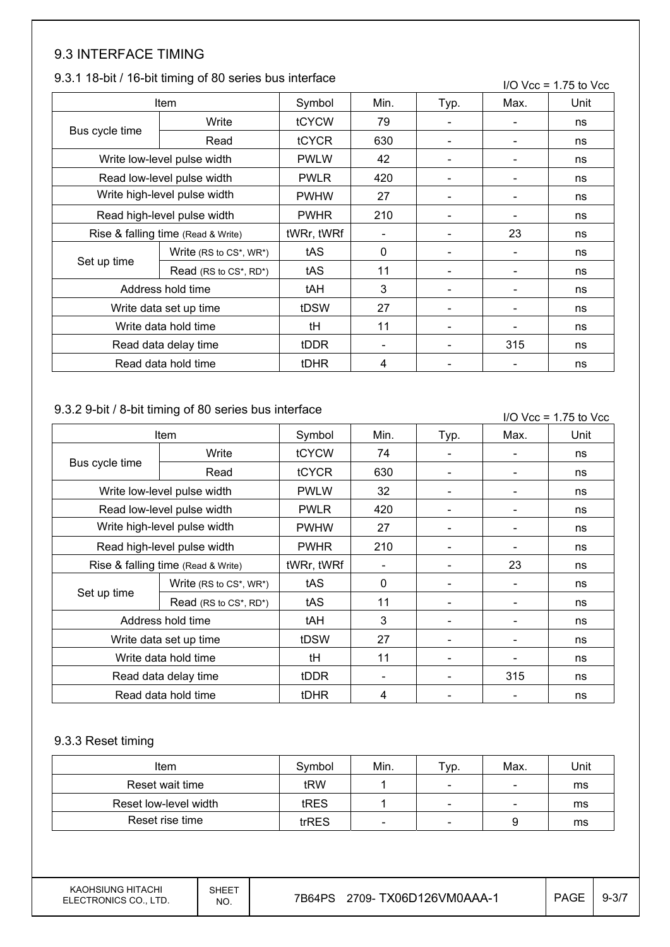### 9.3 INTERFACE TIMING

#### 9.3.1 18-bit / 16-bit timing of 80 series bus interface

|                                    | 9.3.1 18-DR / 16-DR urning OF 80 Series Dus interface |             |              |                          |      | $I/O$ Vcc = 1.75 to Vcc |
|------------------------------------|-------------------------------------------------------|-------------|--------------|--------------------------|------|-------------------------|
|                                    | Item                                                  | Symbol      | Min.         | Typ.                     | Max. | Unit                    |
|                                    | Write                                                 | tCYCW       | 79           |                          |      | ns                      |
| Bus cycle time                     | Read                                                  | tCYCR       | 630          | $\overline{\phantom{a}}$ |      | ns                      |
| Write low-level pulse width        | <b>PWLW</b>                                           | 42          |              |                          | ns   |                         |
|                                    | Read low-level pulse width                            | <b>PWLR</b> | 420          |                          |      | ns                      |
| Write high-level pulse width       | <b>PWHW</b>                                           | 27          |              |                          | ns   |                         |
| Read high-level pulse width        | <b>PWHR</b>                                           | 210         |              |                          | ns   |                         |
| Rise & falling time (Read & Write) |                                                       | tWRr, tWRf  |              |                          | 23   | ns                      |
|                                    | Write (RS to CS*, WR*)                                | tAS         | $\mathbf{0}$ | $\overline{\phantom{a}}$ |      | ns                      |
| Set up time                        | Read (RS to CS*, RD*)                                 | tAS         | 11           |                          |      | ns                      |
|                                    | Address hold time                                     | tAH         | 3            |                          |      | ns                      |
|                                    | Write data set up time                                | tDSW        | 27           | $\overline{\phantom{a}}$ |      | ns                      |
|                                    | Write data hold time                                  | tH          | 11           |                          |      | ns                      |
|                                    | Read data delay time                                  | tDDR        |              |                          | 315  | ns                      |
|                                    | Read data hold time                                   | <b>tDHR</b> | 4            |                          |      | ns                      |

#### 9.3.2 9-bit / 8-bit timing of 80 series bus interface

|                              | 9.3.2 9-DIL / 6-DIL (IIIIIIIIU OF 60 SELIES DUS IIIIEITACE |             |              |                          |      | $I/O$ Vcc = 1.75 to Vcc |
|------------------------------|------------------------------------------------------------|-------------|--------------|--------------------------|------|-------------------------|
|                              | Item                                                       | Symbol      | Min.         | Typ.                     | Max. | Unit                    |
|                              | Write                                                      | tCYCW       | 74           |                          |      | ns                      |
| Bus cycle time               | Read                                                       | tCYCR       | 630          | $\overline{\phantom{a}}$ |      | ns                      |
|                              | Write low-level pulse width                                | <b>PWLW</b> | 32           |                          |      | ns                      |
|                              | Read low-level pulse width                                 | <b>PWLR</b> | 420          |                          |      | ns                      |
| Write high-level pulse width |                                                            | <b>PWHW</b> | 27           |                          |      | ns                      |
| Read high-level pulse width  |                                                            | <b>PWHR</b> | 210          |                          |      | ns                      |
|                              | Rise & falling time (Read & Write)                         | tWRr, tWRf  |              |                          | 23   | ns                      |
|                              | Write $(RS to CS^*$ , $WR^*$ )                             | tAS         | $\mathbf{0}$ |                          |      | ns                      |
| Set up time                  | Read (RS to CS*, RD*)                                      | tAS         | 11           |                          |      | ns                      |
|                              | Address hold time                                          | tAH         | 3            |                          |      | ns                      |
|                              | Write data set up time                                     | tDSW        | 27           |                          |      | ns                      |
|                              | Write data hold time                                       | tH          | 11           |                          |      | ns                      |
|                              | Read data delay time                                       | tDDR        |              |                          | 315  | ns                      |
|                              | Read data hold time                                        | <b>tDHR</b> | 4            |                          |      | ns                      |

#### 9.3.3 Reset timing

| Item                  | Symbol | Min. | Typ.                     | Max.                     | Unit |
|-----------------------|--------|------|--------------------------|--------------------------|------|
| Reset wait time       | tRW    |      | $\overline{\phantom{a}}$ | $\overline{\phantom{a}}$ | ms   |
| Reset low-level width | tRES   |      | $\sim$                   | $\sim$                   | ms   |
| Reset rise time       | trRES  | -    | $\sim$                   |                          | ms   |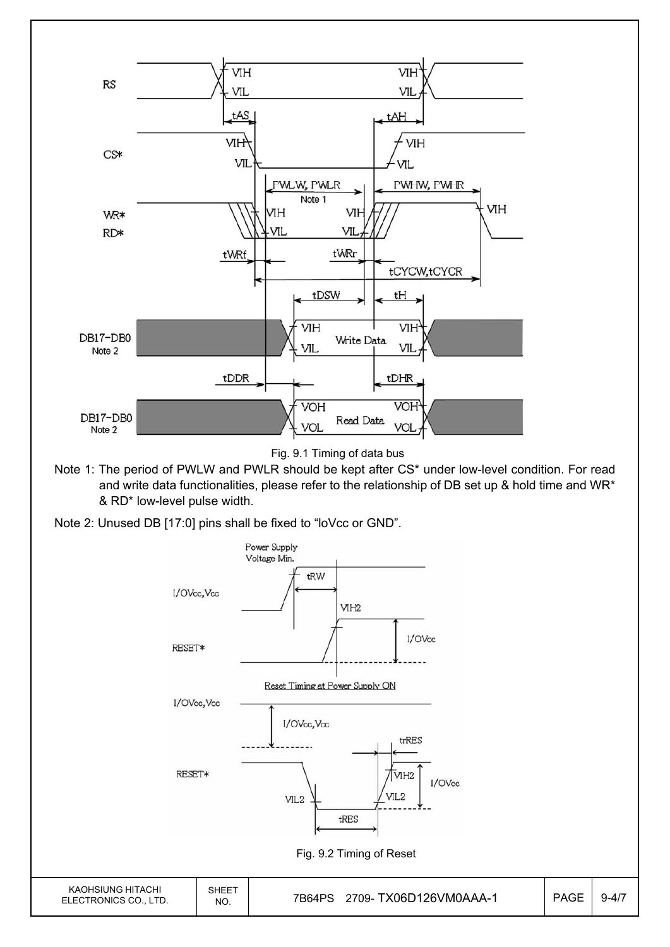

Fig. 9.1 Timing of data bus

- Note 1: The period of PWLW and PWLR should be kept after CS\* under low-level condition. For read and write data functionalities, please refer to the relationship of DB set up & hold time and WR\* & RD\* low-level pulse width.
- Note 2: Unused DB [17:0] pins shall be fixed to "loVcc or GND".

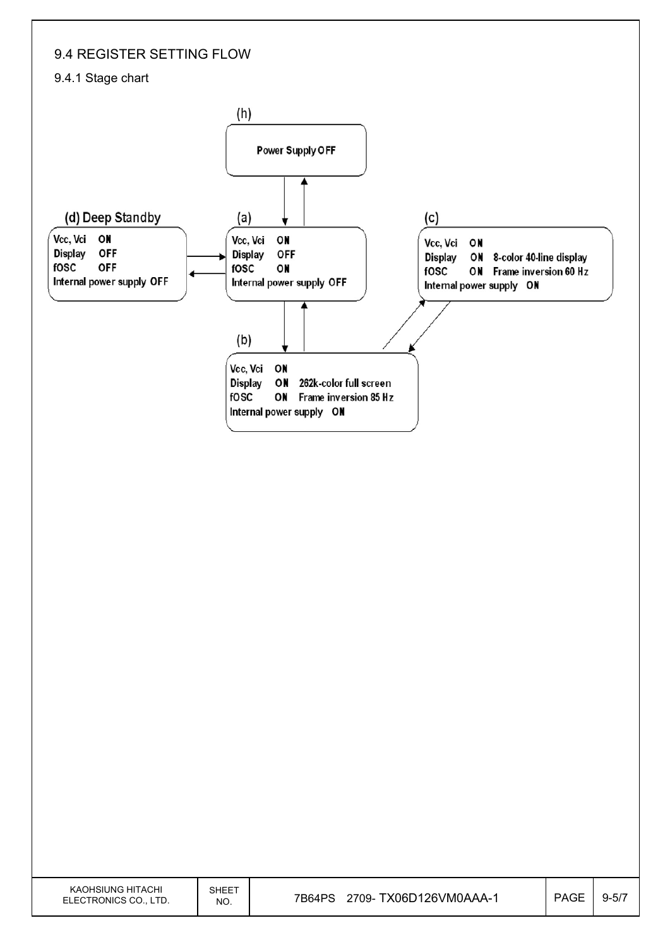## 9.4 REGISTER SETTING FLOW

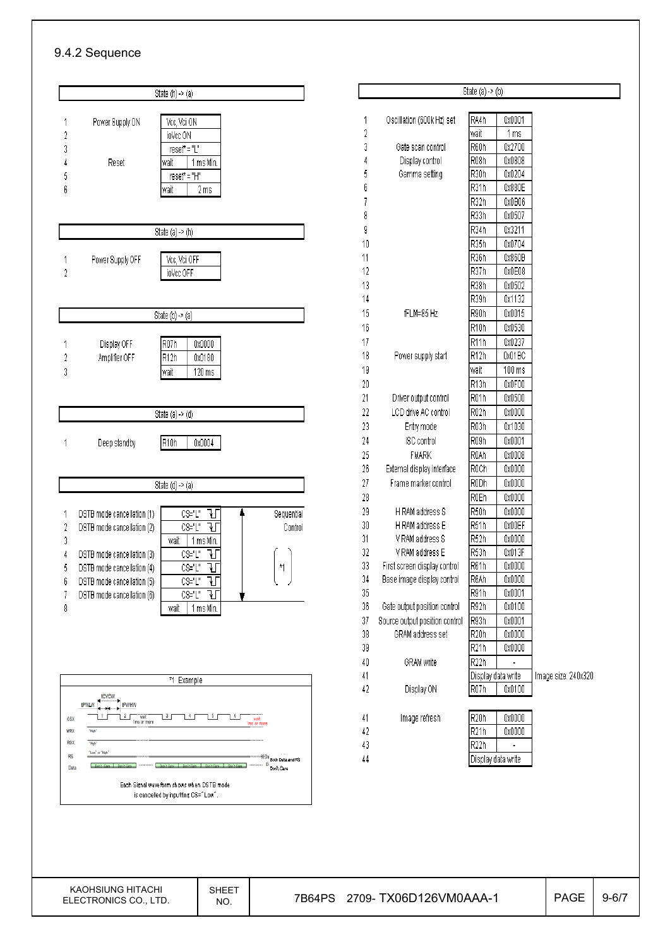#### 9.4.2 Sequence



|        |                                | State $(a) \rightarrow (b)$ |                |                     |
|--------|--------------------------------|-----------------------------|----------------|---------------------|
|        |                                |                             |                |                     |
| 1<br>2 | Oscillation (600k Hz) set      | RA4h<br>wait                | 0x0001<br>1 ms |                     |
| 3      | Gate scan control              | R60h                        | 0x2700         |                     |
| 4      | Display control                | R <sub>08</sub> h           | 0x0808         |                     |
| 5      | Gamma setting                  | R30h                        | 0x0204         |                     |
| 6      |                                | R31h                        | 0x880E         |                     |
| 7      |                                | R32h                        | 0x0B06         |                     |
| 8      |                                | R <sub>33</sub> h           | 0x0507         |                     |
| 9      |                                | R34h                        | 0x3211         |                     |
| 10     |                                | R35h                        | 0x0704         |                     |
| 11     |                                | R36h                        | 0x860B         |                     |
| 12     |                                | R37h                        | 0x0E08         |                     |
| 13     |                                | R38h                        | 0x0502         |                     |
| 14     |                                | R39h                        | 0x1132         |                     |
| 15     | fFLM=85 Hz                     | R90h                        | 0x0015         |                     |
| 16     |                                | R <sub>10</sub> h           | 0x0530         |                     |
| 17     |                                | R <sub>11</sub> h           | 0x0237         |                     |
| 18     | Power supply start             | R <sub>12</sub> h           | 0x01BC         |                     |
| 19     |                                | wait                        | 100 ms         |                     |
| 20     |                                | R <sub>13h</sub>            | 0x0F00         |                     |
| 21     | Driver output control          | R <sub>01</sub> h           | 0x0500         |                     |
| 22     | LCD drive AC control           | R <sub>02</sub> h           | 0x0000         |                     |
| 23     | Entry mode                     | R <sub>03</sub> h           | 0x1030         |                     |
| 24     | ISC control                    | R09h                        | 0x0001         |                     |
| 25     | FMARK                          | R0Ah                        | 0x0008         |                     |
| 26     | External display interface     | R0Ch                        | 0x0000         |                     |
| 27     | Frame marker control           | R0Dh                        | 0x0000         |                     |
| 28     |                                | R0Eh                        | 0x0000         |                     |
| 29     | H RAM address S                | R <sub>50</sub> h           | 0x0000         |                     |
| $30\,$ | H RAM address E                | R51h                        | 0x00EF         |                     |
| 31     | V RAM address S                | R <sub>52</sub> h           | 0x0000         |                     |
| 32     | V RAM address E                | R <sub>53</sub> h           | 0x013F         |                     |
| 33     | First screen display control   | R61h                        | 0x0000         |                     |
| 34     | Base image display control     | R6Ah                        | 0x0000         |                     |
| 35     |                                | R91h                        | 0x0001         |                     |
| 36     | Gate output position control   | R92h                        | 0x0100         |                     |
| 37     | Source output position control | R93h                        | 0x0001         |                     |
| 38     | GRAM address set               | R <sub>20</sub> h           | 0x0000         |                     |
| 39     |                                | R <sub>21</sub> h           | 0x0000         |                     |
| 40     | GRAM write                     | R <sub>22</sub> h           |                |                     |
| 41     |                                | Display data write          |                | Image size: 240x320 |
| 42     | Display ON                     | R07h                        | 0x0100         |                     |
| 41     | Image refresh                  | R <sub>20</sub> h           | 0x0000         |                     |
| 42     |                                | R <sub>21</sub> h           | 0x0000         |                     |
| 43     |                                | R <sub>22</sub> h           |                |                     |
| 44     |                                | Display data write          |                |                     |
|        |                                |                             |                |                     |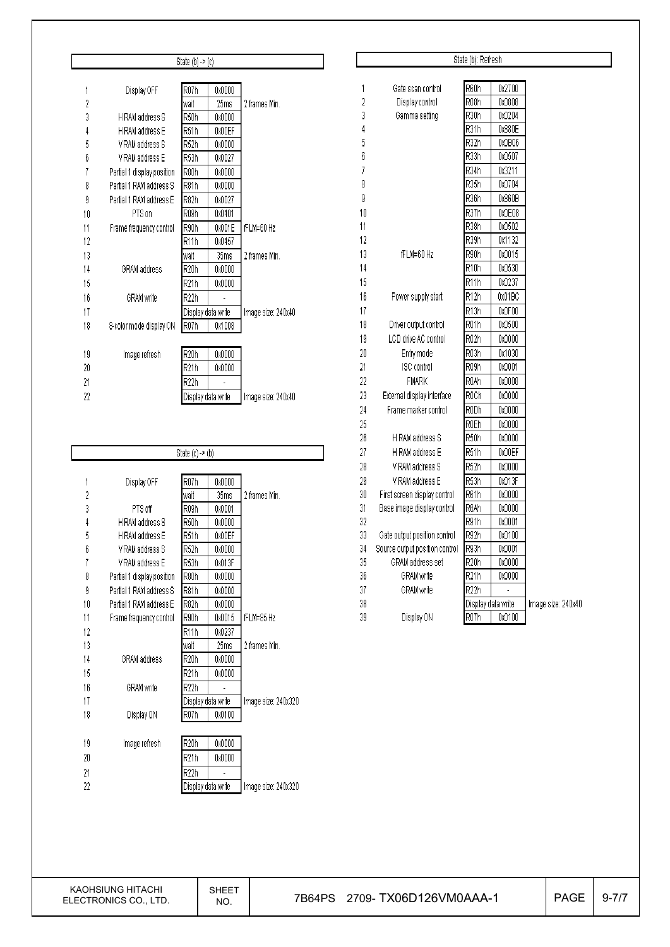|                |                            | State $(b)$ -> $(c)$ |                    |                    |
|----------------|----------------------------|----------------------|--------------------|--------------------|
|                |                            |                      |                    |                    |
| 1              | Display OFF                | R <sub>07</sub> h    | 0x0000             |                    |
| $\overline{2}$ |                            | wait                 | 25ms               | 2 frames Min.      |
| 3              | H RAM address S            | R50h                 | 0x0000             |                    |
| 4              | H RAM address E            | R51h                 | 0x00EF             |                    |
| 5              | V RAM address S            | R52h                 | 0x0000             |                    |
| 6              | V RAM address E            | R53h                 | 0x0027             |                    |
| 7              | Partial 1 display position | R80h                 | 0x0000             |                    |
| 8              | Partial 1 RAM address S    | R81h                 | 0x0000             |                    |
| g              | Partial 1 RAM address E    | R82h                 | 0x0027             |                    |
| 10             | PTS on                     | R09h                 | 0x0401             |                    |
| 11             | Frame frequency control    | R90h                 | 0x001E             | fFLM=60 Hz         |
| 12             |                            | R <sub>11</sub> h    | 0x0457             |                    |
| 13             |                            | wait                 | 35ms               | 2 frames Min.      |
| 14             | GRAM address               | R20h                 | 0x0000             |                    |
| 15             |                            | R21h                 | 0x0000             |                    |
| 16             | GRAM write                 | R22h                 |                    |                    |
| 17             |                            |                      | Display data write | Image size: 240x40 |
| 18             | 8-color mode display ON    | R <sub>07</sub> h    | 0x1008             |                    |
|                |                            |                      |                    |                    |
| 19             | Image refresh              | R <sub>20</sub> h    | 0x0000             |                    |
| 20             |                            | R21h                 | 0x0000             |                    |
| 21             |                            | R22h                 |                    |                    |
| 22             |                            |                      | Display data write | Image size: 240x40 |

┑

|                |                            | State $(c) \rightarrow (b)$ |        |                     |
|----------------|----------------------------|-----------------------------|--------|---------------------|
|                |                            |                             |        |                     |
| 1              | Display OFF                | R <sub>07</sub> h           | 0x0000 |                     |
| $\overline{2}$ |                            | wait                        | 35ms   | 2 frames Min.       |
| 3              | PTS off                    | R <sub>09</sub> h           | 0x0001 |                     |
| 4              | H RAM address S            | R <sub>50</sub> h           | 0x0000 |                     |
| 5              | H RAM address E            | R <sub>51</sub> h           | 0x00EF |                     |
| 6              | V RAM address S            | R <sub>52</sub> h           | 0x0000 |                     |
| 7              | V RAM address E            | R <sub>53</sub> h           | 0x013F |                     |
| 8              | Partial 1 display position | R80h                        | 0x0000 |                     |
| g              | Partial 1 RAM address S    | R81h                        | 0x0000 |                     |
| 10             | Partial 1 RAM address E    | R82h                        | 0x0000 |                     |
| 11             | Frame frequency control    | R90h                        | 0x0015 | fFLM=85 Hz          |
| 12             |                            | R <sub>11</sub> h           | 0x0237 |                     |
| 13             |                            | wait                        | 25ms   | 2 frames Min.       |
| 14             | GRAM address               | R <sub>20</sub> h           | 0x0000 |                     |
| 15             |                            | R <sub>21</sub> h           | 0x0000 |                     |
| 16             | GRAM write                 | R <sub>22</sub> h           |        |                     |
| 17             |                            | Display data write          |        | Image size: 240x320 |
| 18             | Display ON                 | R <sub>07</sub> h           | 0x0100 |                     |
|                |                            |                             |        |                     |
| 19             | Image refresh              | R <sub>20</sub> h           | 0x0000 |                     |
| 20             |                            | R <sub>21</sub> h           | 0x0000 |                     |
| 21             |                            | R <sub>22</sub> h           |        |                     |
| 22             |                            | Display data write          |        | Image size: 240x320 |
|                |                            |                             |        |                     |
|                |                            |                             |        |                     |
|                |                            |                             |        |                     |
|                |                            |                             |        |                     |
|                |                            |                             |        |                     |
|                |                            |                             |        |                     |
|                |                            |                             |        |                     |

| State (b): Refresh<br>R60h<br>0x2700<br>1<br>Gate scan control<br>2<br>R <sub>08</sub> h<br>0x0808<br>Display control<br>3<br>R30h<br>0x0204<br>Gamma setting<br>R31h<br>4<br>0x880E<br>R32h<br>5<br>0x0B06<br>6<br>R33h<br>0x0507<br>R34h<br>7<br>0x3211<br>8<br>R35h<br>0x0704<br>9<br>R36h<br>0x860B<br>10<br>R37h<br>0x0E08<br>11<br>R38h<br>0x0502<br>12<br>R39h<br>0x1132<br>13<br>fFLM=60 Hz<br>R90h<br>0x0015<br>R <sub>10</sub> h<br>14<br>0x0530<br>15<br>R11h<br>0x0237<br>16<br>R12h<br>Power supply start<br>0x01BC<br>17<br>R13h<br>0x0F00<br>18<br>Driver output control<br>R01h<br>0x0500<br>LCD drive AC control<br>19<br>R02h<br>0x0000<br>20<br>R03h<br>0x1030<br>Entry mode<br>21<br>R09h<br>ISC control<br>0x0001<br>22<br><b>FMARK</b><br>R0Ah<br>0x0008<br>23<br>R <sub>0</sub> Ch<br>External display interface<br>0x0000<br>24<br>RODh<br>Frame marker control<br>0x0000<br>25<br><b>ROEh</b><br>0x0000<br>26<br>R50h<br>H RAM address S<br>0x0000<br>27<br>H RAM address E<br>R51h<br>0x00EF<br>28<br>R52h<br>0x0000<br>V RAM address S<br>29<br>R <sub>53</sub> h<br>V RAM address E<br>0x013F<br>30<br>R61h<br>0x0000<br>First screen display control<br>31<br>R6Ah<br>Base image display control<br>0x0000<br>32<br>R91h<br>0x0001<br>33<br>R92h<br>Gate output position control<br>0x0100<br>R93h<br>34<br>Source output position control<br>0x0001<br>GRAM address set<br>R <sub>20</sub> h<br>35<br>0x0000<br>R <sub>21</sub> h<br>36<br>GRAM write<br>0x0000<br>37<br>R <sub>22</sub> h<br>GRAM write<br>38<br>Display data write<br>Image size: 240x40<br>39<br>Display ON<br>R07h<br>0x0100 |  |  |  |
|--------------------------------------------------------------------------------------------------------------------------------------------------------------------------------------------------------------------------------------------------------------------------------------------------------------------------------------------------------------------------------------------------------------------------------------------------------------------------------------------------------------------------------------------------------------------------------------------------------------------------------------------------------------------------------------------------------------------------------------------------------------------------------------------------------------------------------------------------------------------------------------------------------------------------------------------------------------------------------------------------------------------------------------------------------------------------------------------------------------------------------------------------------------------------------------------------------------------------------------------------------------------------------------------------------------------------------------------------------------------------------------------------------------------------------------------------------------------------------------------------------------------------------------------------------------------------------------------------------------------------------|--|--|--|
|                                                                                                                                                                                                                                                                                                                                                                                                                                                                                                                                                                                                                                                                                                                                                                                                                                                                                                                                                                                                                                                                                                                                                                                                                                                                                                                                                                                                                                                                                                                                                                                                                                |  |  |  |
|                                                                                                                                                                                                                                                                                                                                                                                                                                                                                                                                                                                                                                                                                                                                                                                                                                                                                                                                                                                                                                                                                                                                                                                                                                                                                                                                                                                                                                                                                                                                                                                                                                |  |  |  |
|                                                                                                                                                                                                                                                                                                                                                                                                                                                                                                                                                                                                                                                                                                                                                                                                                                                                                                                                                                                                                                                                                                                                                                                                                                                                                                                                                                                                                                                                                                                                                                                                                                |  |  |  |
|                                                                                                                                                                                                                                                                                                                                                                                                                                                                                                                                                                                                                                                                                                                                                                                                                                                                                                                                                                                                                                                                                                                                                                                                                                                                                                                                                                                                                                                                                                                                                                                                                                |  |  |  |
|                                                                                                                                                                                                                                                                                                                                                                                                                                                                                                                                                                                                                                                                                                                                                                                                                                                                                                                                                                                                                                                                                                                                                                                                                                                                                                                                                                                                                                                                                                                                                                                                                                |  |  |  |
|                                                                                                                                                                                                                                                                                                                                                                                                                                                                                                                                                                                                                                                                                                                                                                                                                                                                                                                                                                                                                                                                                                                                                                                                                                                                                                                                                                                                                                                                                                                                                                                                                                |  |  |  |
|                                                                                                                                                                                                                                                                                                                                                                                                                                                                                                                                                                                                                                                                                                                                                                                                                                                                                                                                                                                                                                                                                                                                                                                                                                                                                                                                                                                                                                                                                                                                                                                                                                |  |  |  |
|                                                                                                                                                                                                                                                                                                                                                                                                                                                                                                                                                                                                                                                                                                                                                                                                                                                                                                                                                                                                                                                                                                                                                                                                                                                                                                                                                                                                                                                                                                                                                                                                                                |  |  |  |
|                                                                                                                                                                                                                                                                                                                                                                                                                                                                                                                                                                                                                                                                                                                                                                                                                                                                                                                                                                                                                                                                                                                                                                                                                                                                                                                                                                                                                                                                                                                                                                                                                                |  |  |  |
|                                                                                                                                                                                                                                                                                                                                                                                                                                                                                                                                                                                                                                                                                                                                                                                                                                                                                                                                                                                                                                                                                                                                                                                                                                                                                                                                                                                                                                                                                                                                                                                                                                |  |  |  |
|                                                                                                                                                                                                                                                                                                                                                                                                                                                                                                                                                                                                                                                                                                                                                                                                                                                                                                                                                                                                                                                                                                                                                                                                                                                                                                                                                                                                                                                                                                                                                                                                                                |  |  |  |
|                                                                                                                                                                                                                                                                                                                                                                                                                                                                                                                                                                                                                                                                                                                                                                                                                                                                                                                                                                                                                                                                                                                                                                                                                                                                                                                                                                                                                                                                                                                                                                                                                                |  |  |  |
|                                                                                                                                                                                                                                                                                                                                                                                                                                                                                                                                                                                                                                                                                                                                                                                                                                                                                                                                                                                                                                                                                                                                                                                                                                                                                                                                                                                                                                                                                                                                                                                                                                |  |  |  |
|                                                                                                                                                                                                                                                                                                                                                                                                                                                                                                                                                                                                                                                                                                                                                                                                                                                                                                                                                                                                                                                                                                                                                                                                                                                                                                                                                                                                                                                                                                                                                                                                                                |  |  |  |
|                                                                                                                                                                                                                                                                                                                                                                                                                                                                                                                                                                                                                                                                                                                                                                                                                                                                                                                                                                                                                                                                                                                                                                                                                                                                                                                                                                                                                                                                                                                                                                                                                                |  |  |  |
|                                                                                                                                                                                                                                                                                                                                                                                                                                                                                                                                                                                                                                                                                                                                                                                                                                                                                                                                                                                                                                                                                                                                                                                                                                                                                                                                                                                                                                                                                                                                                                                                                                |  |  |  |
|                                                                                                                                                                                                                                                                                                                                                                                                                                                                                                                                                                                                                                                                                                                                                                                                                                                                                                                                                                                                                                                                                                                                                                                                                                                                                                                                                                                                                                                                                                                                                                                                                                |  |  |  |
|                                                                                                                                                                                                                                                                                                                                                                                                                                                                                                                                                                                                                                                                                                                                                                                                                                                                                                                                                                                                                                                                                                                                                                                                                                                                                                                                                                                                                                                                                                                                                                                                                                |  |  |  |
|                                                                                                                                                                                                                                                                                                                                                                                                                                                                                                                                                                                                                                                                                                                                                                                                                                                                                                                                                                                                                                                                                                                                                                                                                                                                                                                                                                                                                                                                                                                                                                                                                                |  |  |  |
|                                                                                                                                                                                                                                                                                                                                                                                                                                                                                                                                                                                                                                                                                                                                                                                                                                                                                                                                                                                                                                                                                                                                                                                                                                                                                                                                                                                                                                                                                                                                                                                                                                |  |  |  |
|                                                                                                                                                                                                                                                                                                                                                                                                                                                                                                                                                                                                                                                                                                                                                                                                                                                                                                                                                                                                                                                                                                                                                                                                                                                                                                                                                                                                                                                                                                                                                                                                                                |  |  |  |
|                                                                                                                                                                                                                                                                                                                                                                                                                                                                                                                                                                                                                                                                                                                                                                                                                                                                                                                                                                                                                                                                                                                                                                                                                                                                                                                                                                                                                                                                                                                                                                                                                                |  |  |  |
|                                                                                                                                                                                                                                                                                                                                                                                                                                                                                                                                                                                                                                                                                                                                                                                                                                                                                                                                                                                                                                                                                                                                                                                                                                                                                                                                                                                                                                                                                                                                                                                                                                |  |  |  |
|                                                                                                                                                                                                                                                                                                                                                                                                                                                                                                                                                                                                                                                                                                                                                                                                                                                                                                                                                                                                                                                                                                                                                                                                                                                                                                                                                                                                                                                                                                                                                                                                                                |  |  |  |
|                                                                                                                                                                                                                                                                                                                                                                                                                                                                                                                                                                                                                                                                                                                                                                                                                                                                                                                                                                                                                                                                                                                                                                                                                                                                                                                                                                                                                                                                                                                                                                                                                                |  |  |  |
|                                                                                                                                                                                                                                                                                                                                                                                                                                                                                                                                                                                                                                                                                                                                                                                                                                                                                                                                                                                                                                                                                                                                                                                                                                                                                                                                                                                                                                                                                                                                                                                                                                |  |  |  |
|                                                                                                                                                                                                                                                                                                                                                                                                                                                                                                                                                                                                                                                                                                                                                                                                                                                                                                                                                                                                                                                                                                                                                                                                                                                                                                                                                                                                                                                                                                                                                                                                                                |  |  |  |
|                                                                                                                                                                                                                                                                                                                                                                                                                                                                                                                                                                                                                                                                                                                                                                                                                                                                                                                                                                                                                                                                                                                                                                                                                                                                                                                                                                                                                                                                                                                                                                                                                                |  |  |  |
|                                                                                                                                                                                                                                                                                                                                                                                                                                                                                                                                                                                                                                                                                                                                                                                                                                                                                                                                                                                                                                                                                                                                                                                                                                                                                                                                                                                                                                                                                                                                                                                                                                |  |  |  |
|                                                                                                                                                                                                                                                                                                                                                                                                                                                                                                                                                                                                                                                                                                                                                                                                                                                                                                                                                                                                                                                                                                                                                                                                                                                                                                                                                                                                                                                                                                                                                                                                                                |  |  |  |
|                                                                                                                                                                                                                                                                                                                                                                                                                                                                                                                                                                                                                                                                                                                                                                                                                                                                                                                                                                                                                                                                                                                                                                                                                                                                                                                                                                                                                                                                                                                                                                                                                                |  |  |  |
|                                                                                                                                                                                                                                                                                                                                                                                                                                                                                                                                                                                                                                                                                                                                                                                                                                                                                                                                                                                                                                                                                                                                                                                                                                                                                                                                                                                                                                                                                                                                                                                                                                |  |  |  |
|                                                                                                                                                                                                                                                                                                                                                                                                                                                                                                                                                                                                                                                                                                                                                                                                                                                                                                                                                                                                                                                                                                                                                                                                                                                                                                                                                                                                                                                                                                                                                                                                                                |  |  |  |
|                                                                                                                                                                                                                                                                                                                                                                                                                                                                                                                                                                                                                                                                                                                                                                                                                                                                                                                                                                                                                                                                                                                                                                                                                                                                                                                                                                                                                                                                                                                                                                                                                                |  |  |  |
|                                                                                                                                                                                                                                                                                                                                                                                                                                                                                                                                                                                                                                                                                                                                                                                                                                                                                                                                                                                                                                                                                                                                                                                                                                                                                                                                                                                                                                                                                                                                                                                                                                |  |  |  |
|                                                                                                                                                                                                                                                                                                                                                                                                                                                                                                                                                                                                                                                                                                                                                                                                                                                                                                                                                                                                                                                                                                                                                                                                                                                                                                                                                                                                                                                                                                                                                                                                                                |  |  |  |
|                                                                                                                                                                                                                                                                                                                                                                                                                                                                                                                                                                                                                                                                                                                                                                                                                                                                                                                                                                                                                                                                                                                                                                                                                                                                                                                                                                                                                                                                                                                                                                                                                                |  |  |  |
|                                                                                                                                                                                                                                                                                                                                                                                                                                                                                                                                                                                                                                                                                                                                                                                                                                                                                                                                                                                                                                                                                                                                                                                                                                                                                                                                                                                                                                                                                                                                                                                                                                |  |  |  |
|                                                                                                                                                                                                                                                                                                                                                                                                                                                                                                                                                                                                                                                                                                                                                                                                                                                                                                                                                                                                                                                                                                                                                                                                                                                                                                                                                                                                                                                                                                                                                                                                                                |  |  |  |
|                                                                                                                                                                                                                                                                                                                                                                                                                                                                                                                                                                                                                                                                                                                                                                                                                                                                                                                                                                                                                                                                                                                                                                                                                                                                                                                                                                                                                                                                                                                                                                                                                                |  |  |  |
|                                                                                                                                                                                                                                                                                                                                                                                                                                                                                                                                                                                                                                                                                                                                                                                                                                                                                                                                                                                                                                                                                                                                                                                                                                                                                                                                                                                                                                                                                                                                                                                                                                |  |  |  |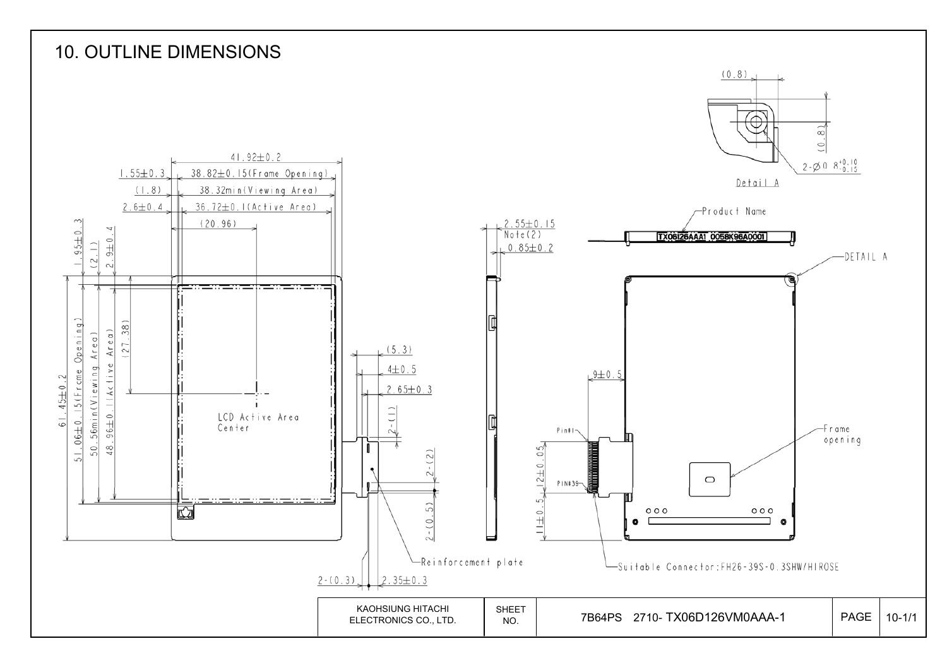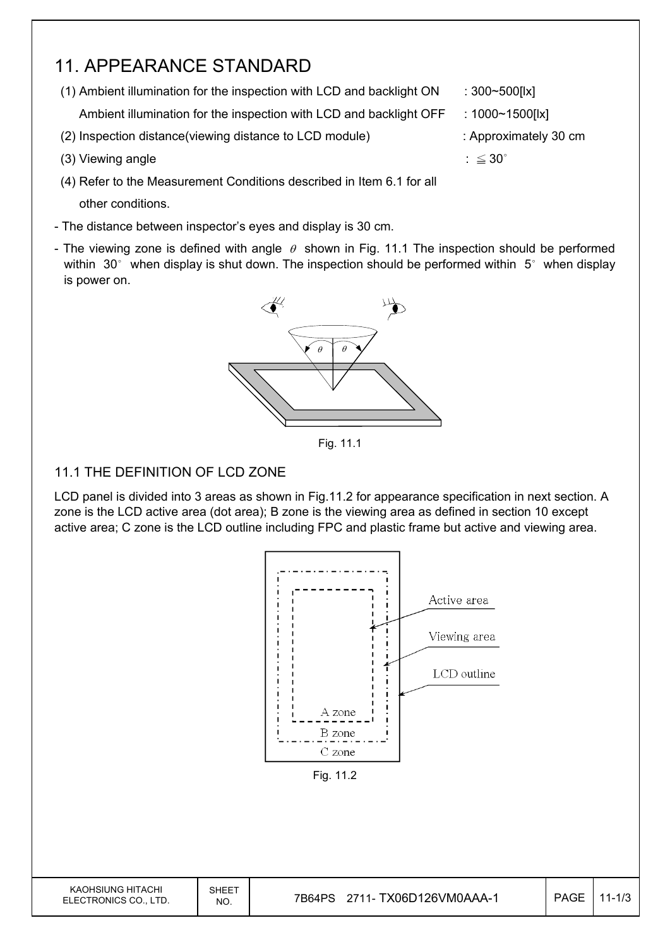## 11. APPEARANCE STANDARD

(1) Ambient illumination for the inspection with LCD and backlight  $ON$  : 300~500[lx]

Ambient illumination for the inspection with LCD and backlight OFF : 1000~1500[lx]

- (2) Inspection distance(viewing distance to LCD module) : Approximately 30 cm
- (3) Viewing angle  $\therefore \leq 30^{\circ}$
- (4) Refer to the Measurement Conditions described in Item 6.1 for all other conditions.
- The distance between inspector's eyes and display is 30 cm.
- The viewing zone is defined with angle  $\theta$  shown in Fig. 11.1 The inspection should be performed within  $30^\circ$  when display is shut down. The inspection should be performed within  $5^\circ$  when display is power on.



Fig. 11.1

#### 11.1 THE DEFINITION OF LCD ZONE

LCD panel is divided into 3 areas as shown in Fig.11.2 for appearance specification in next section. A zone is the LCD active area (dot area); B zone is the viewing area as defined in section 10 except active area; C zone is the LCD outline including FPC and plastic frame but active and viewing area.



KAOHSIUNG HITACHI ELECTRONICS CO., LTD. SHEET



- 
- 
- 
-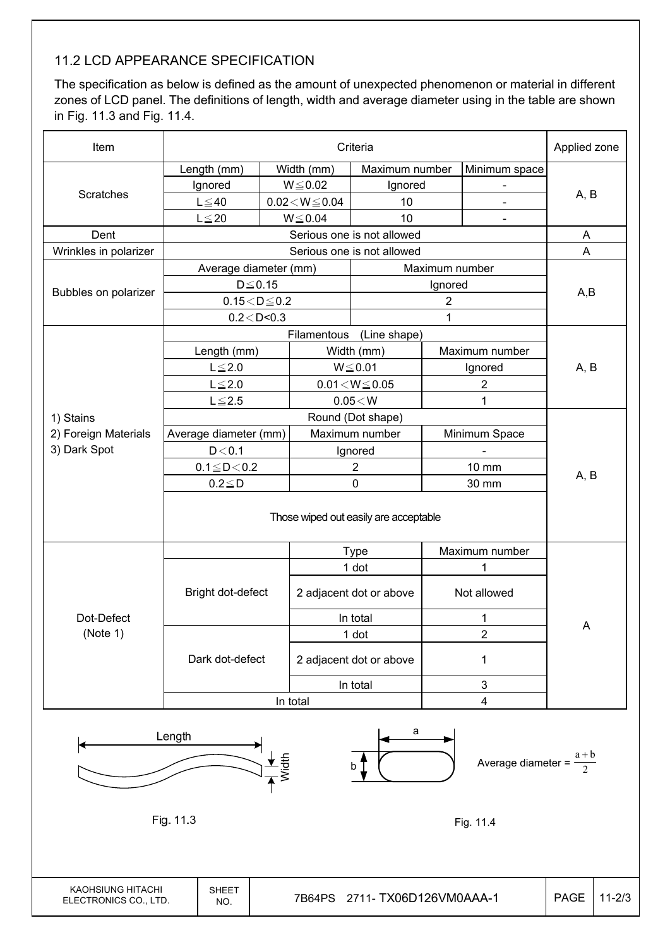### 11.2 LCD APPEARANCE SPECIFICATION

The specification as below is defined as the amount of unexpected phenomenon or material in different zones of LCD panel. The definitions of length, width and average diameter using in the table are shown in Fig. 11.3 and Fig. 11.4.

| Item                  |                       |  |                          | Criteria                   |                |                          | Applied zone |
|-----------------------|-----------------------|--|--------------------------|----------------------------|----------------|--------------------------|--------------|
|                       | Length (mm)           |  | Width (mm)               | Maximum number             |                | Minimum space            |              |
|                       | Ignored               |  | $W \le 0.02$             | Ignored                    |                | $\overline{\phantom{0}}$ |              |
| Scratches             | $L \leq 40$           |  | $0.02\!<\!W\!\leq\!0.04$ | 10                         |                |                          | A, B         |
|                       | $L \leq 20$           |  | $W \le 0.04$             | 10                         |                |                          |              |
| Dent                  |                       |  |                          | Serious one is not allowed |                |                          | Α            |
| Wrinkles in polarizer |                       |  |                          | Serious one is not allowed |                |                          | $\mathsf A$  |
|                       | Average diameter (mm) |  |                          |                            | Maximum number |                          |              |
|                       | $D \leq 0.15$         |  |                          |                            | Ignored        |                          |              |
| Bubbles on polarizer  | $0.15<\!D\!\leq\!0.2$ |  |                          |                            | $\overline{2}$ |                          | A,B          |
|                       | $0.2 <$ D<0.3         |  |                          |                            | 1              |                          |              |
|                       |                       |  | Filamentous              | (Line shape)               |                |                          |              |
|                       | Length (mm)           |  |                          | Width (mm)                 |                | Maximum number           |              |
|                       | $L \leq 2.0$          |  |                          | $W \le 0.01$               |                | Ignored                  | A, B         |
|                       | $L \leq 2.0$          |  |                          | $0.01 \leq W \leq 0.05$    |                | $\overline{2}$           |              |
|                       | $L \leq 2.5$          |  |                          | $0.05\!<\!W$               |                | 1                        |              |
| 1) Stains             |                       |  |                          | Round (Dot shape)          |                |                          |              |
| 2) Foreign Materials  | Average diameter (mm) |  |                          | Maximum number             |                | Minimum Space            |              |
| 3) Dark Spot          | D < 0.1               |  |                          | Ignored                    |                |                          |              |
|                       | $0.1 \leq D \leq 0.2$ |  |                          | $\overline{c}$             |                | 10 mm                    |              |
|                       | $0.2 \le D$           |  |                          | 0                          |                | 30 mm                    | A, B         |
|                       |                       |  |                          |                            |                |                          |              |
|                       |                       |  |                          | <b>Type</b>                |                | Maximum number           |              |
|                       |                       |  |                          | 1 dot                      |                | 1                        |              |
|                       | Bright dot-defect     |  |                          | 2 adjacent dot or above    |                | Not allowed              |              |
| Dot-Defect            |                       |  |                          | In total                   |                | 1                        |              |
| (Note 1)              |                       |  |                          | 1 dot                      |                | 2                        | A            |
|                       | Dark dot-defect       |  |                          | 2 adjacent dot or above    |                | 1                        |              |
|                       |                       |  |                          | In total                   |                | 3                        |              |
|                       |                       |  | In total                 |                            |                | 4                        |              |
|                       | Lonath                |  |                          | a                          |                |                          |              |

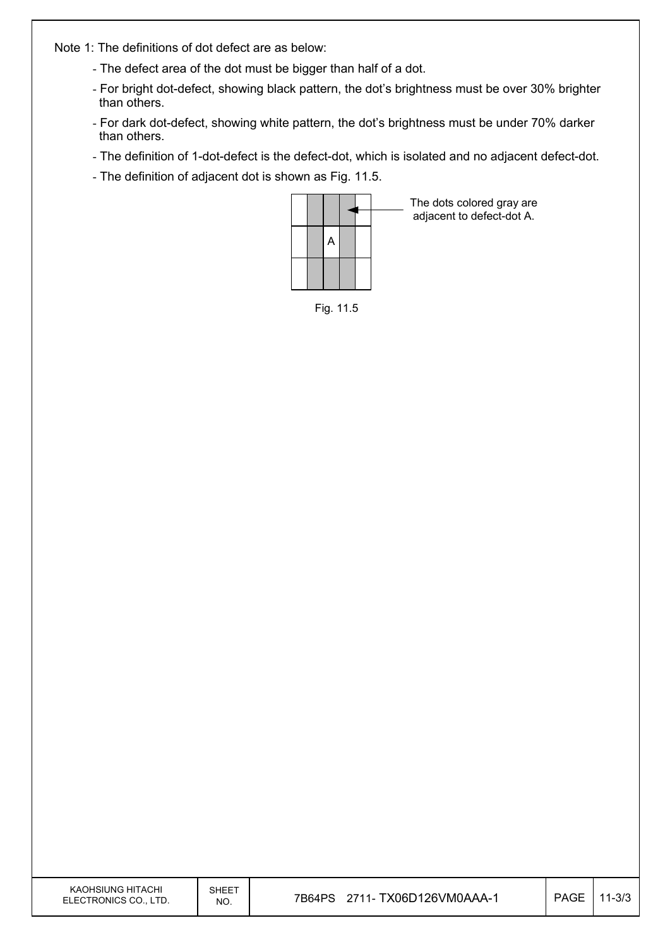Note 1: The definitions of dot defect are as below:

- The defect area of the dot must be bigger than half of a dot.
- For bright dot-defect, showing black pattern, the dot's brightness must be over 30% brighter than others.
- For dark dot-defect, showing white pattern, the dot's brightness must be under 70% darker than others.
- The definition of 1-dot-defect is the defect-dot, which is isolated and no adjacent defect-dot.
- The definition of adjacent dot is shown as Fig. 11.5.



The dots colored gray are adjacent to defect-dot A.

Fig. 11.5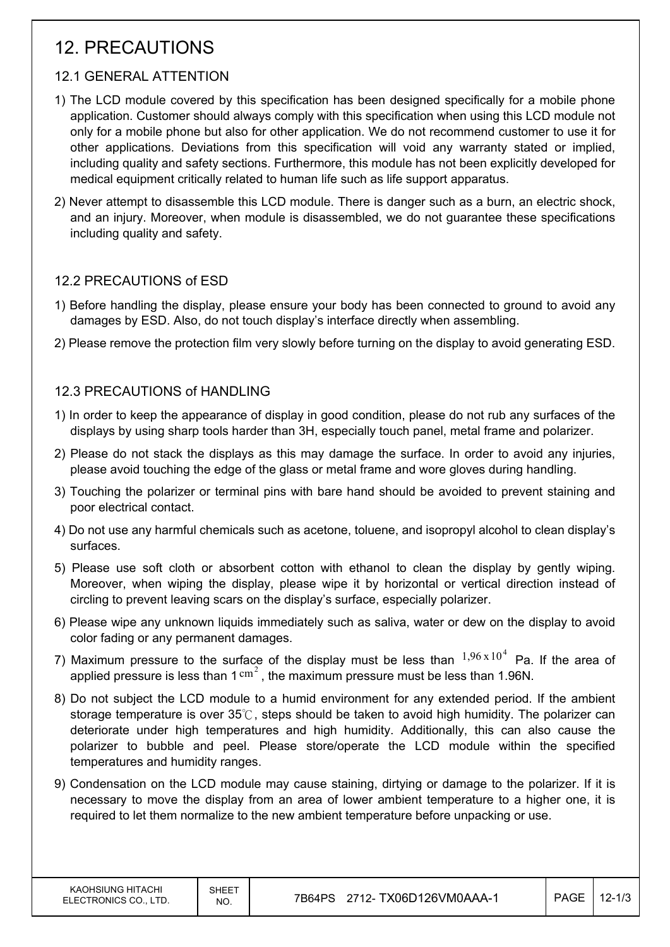## 12. PRECAUTIONS

### 12.1 GENERAL ATTENTION

- 1) The LCD module covered by this specification has been designed specifically for a mobile phone application. Customer should always comply with this specification when using this LCD module not only for a mobile phone but also for other application. We do not recommend customer to use it for other applications. Deviations from this specification will void any warranty stated or implied, including quality and safety sections. Furthermore, this module has not been explicitly developed for medical equipment critically related to human life such as life support apparatus.
- 2) Never attempt to disassemble this LCD module. There is danger such as a burn, an electric shock, and an injury. Moreover, when module is disassembled, we do not guarantee these specifications including quality and safety.

### 12.2 PRECAUTIONS of ESD

- 1) Before handling the display, please ensure your body has been connected to ground to avoid any damages by ESD. Also, do not touch display's interface directly when assembling.
- 2) Please remove the protection film very slowly before turning on the display to avoid generating ESD.

#### 12.3 PRECAUTIONS of HANDLING

- 1) In order to keep the appearance of display in good condition, please do not rub any surfaces of the displays by using sharp tools harder than 3H, especially touch panel, metal frame and polarizer.
- 2) Please do not stack the displays as this may damage the surface. In order to avoid any injuries, please avoid touching the edge of the glass or metal frame and wore gloves during handling.
- 3) Touching the polarizer or terminal pins with bare hand should be avoided to prevent staining and poor electrical contact.
- 4) Do not use any harmful chemicals such as acetone, toluene, and isopropyl alcohol to clean display's surfaces.
- 5) Please use soft cloth or absorbent cotton with ethanol to clean the display by gently wiping. Moreover, when wiping the display, please wipe it by horizontal or vertical direction instead of circling to prevent leaving scars on the display's surface, especially polarizer.
- 6) Please wipe any unknown liquids immediately such as saliva, water or dew on the display to avoid color fading or any permanent damages.
- 7) Maximum pressure to the surface of the display must be less than  $1,96 \times 10^4$  Pa. If the area of applied pressure is less than  $1 \text{ cm}^2$ , the maximum pressure must be less than 1.96N.
- 8) Do not subject the LCD module to a humid environment for any extended period. If the ambient storage temperature is over  $35^\circ\text{C}$ , steps should be taken to avoid high humidity. The polarizer can deteriorate under high temperatures and high humidity. Additionally, this can also cause the polarizer to bubble and peel. Please store/operate the LCD module within the specified temperatures and humidity ranges.
- 9) Condensation on the LCD module may cause staining, dirtying or damage to the polarizer. If it is necessary to move the display from an area of lower ambient temperature to a higher one, it is required to let them normalize to the new ambient temperature before unpacking or use.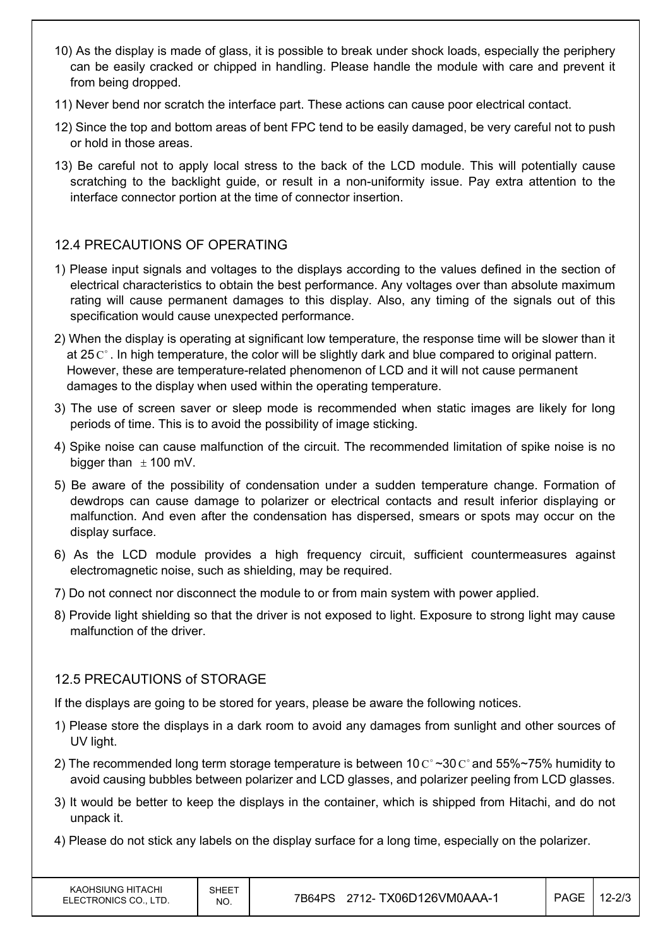- 10) As the display is made of glass, it is possible to break under shock loads, especially the periphery can be easily cracked or chipped in handling. Please handle the module with care and prevent it from being dropped.
- 11) Never bend nor scratch the interface part. These actions can cause poor electrical contact.
- 12) Since the top and bottom areas of bent FPC tend to be easily damaged, be very careful not to push or hold in those areas.
- 13) Be careful not to apply local stress to the back of the LCD module. This will potentially cause scratching to the backlight guide, or result in a non-uniformity issue. Pay extra attention to the interface connector portion at the time of connector insertion.

### 12.4 PRECAUTIONS OF OPERATING

- 1) Please input signals and voltages to the displays according to the values defined in the section of electrical characteristics to obtain the best performance. Any voltages over than absolute maximum rating will cause permanent damages to this display. Also, any timing of the signals out of this specification would cause unexpected performance.
- 2) When the display is operating at significant low temperature, the response time will be slower than it at 25  $\mathrm{C}^{\circ}$ . In high temperature, the color will be slightly dark and blue compared to original pattern. However, these are temperature-related phenomenon of LCD and it will not cause permanent damages to the display when used within the operating temperature.
- 3) The use of screen saver or sleep mode is recommended when static images are likely for long periods of time. This is to avoid the possibility of image sticking.
- 4) Spike noise can cause malfunction of the circuit. The recommended limitation of spike noise is no bigger than  $\pm$  100 mV.
- 5) Be aware of the possibility of condensation under a sudden temperature change. Formation of dewdrops can cause damage to polarizer or electrical contacts and result inferior displaying or malfunction. And even after the condensation has dispersed, smears or spots may occur on the display surface.
- 6) As the LCD module provides a high frequency circuit, sufficient countermeasures against electromagnetic noise, such as shielding, may be required.
- 7) Do not connect nor disconnect the module to or from main system with power applied.
- 8) Provide light shielding so that the driver is not exposed to light. Exposure to strong light may cause malfunction of the driver.

### 12.5 PRECAUTIONS of STORAGE

If the displays are going to be stored for years, please be aware the following notices.

- 1) Please store the displays in a dark room to avoid any damages from sunlight and other sources of UV light.
- 2) The recommended long term storage temperature is between 10  $\text{C}^{\circ}$  ~30  $\text{C}^{\circ}$  and 55%~75% humidity to avoid causing bubbles between polarizer and LCD glasses, and polarizer peeling from LCD glasses.
- 3) It would be better to keep the displays in the container, which is shipped from Hitachi, and do not unpack it.
- 4) Please do not stick any labels on the display surface for a long time, especially on the polarizer.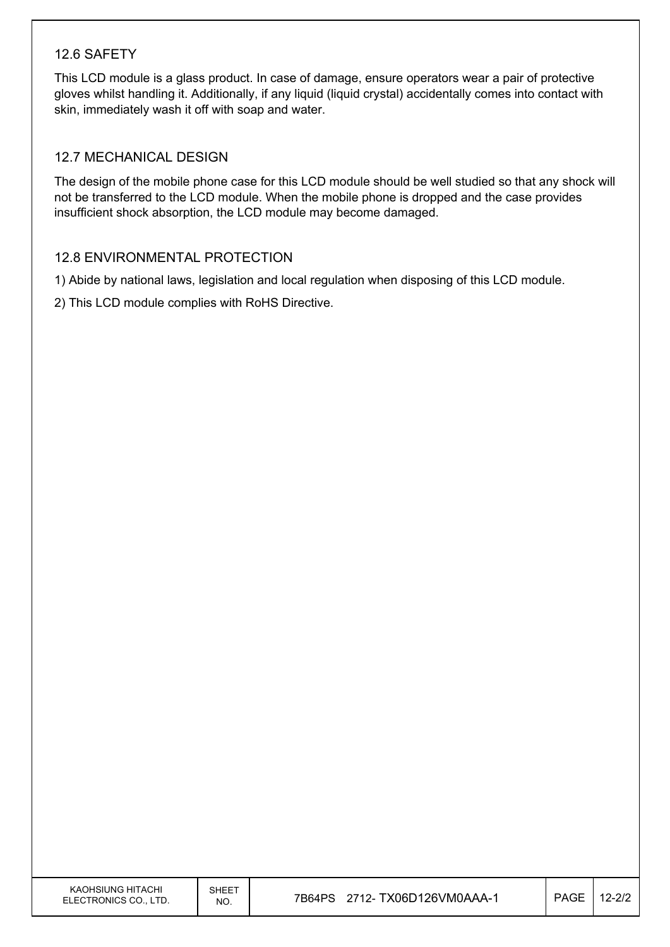#### 12.6 SAFETY

This LCD module is a glass product. In case of damage, ensure operators wear a pair of protective gloves whilst handling it. Additionally, if any liquid (liquid crystal) accidentally comes into contact with skin, immediately wash it off with soap and water.

#### 12.7 MECHANICAL DESIGN

The design of the mobile phone case for this LCD module should be well studied so that any shock will not be transferred to the LCD module. When the mobile phone is dropped and the case provides insufficient shock absorption, the LCD module may become damaged.

#### 12.8 ENVIRONMENTAL PROTECTION

1) Abide by national laws, legislation and local regulation when disposing of this LCD module.

2) This LCD module complies with RoHS Directive.